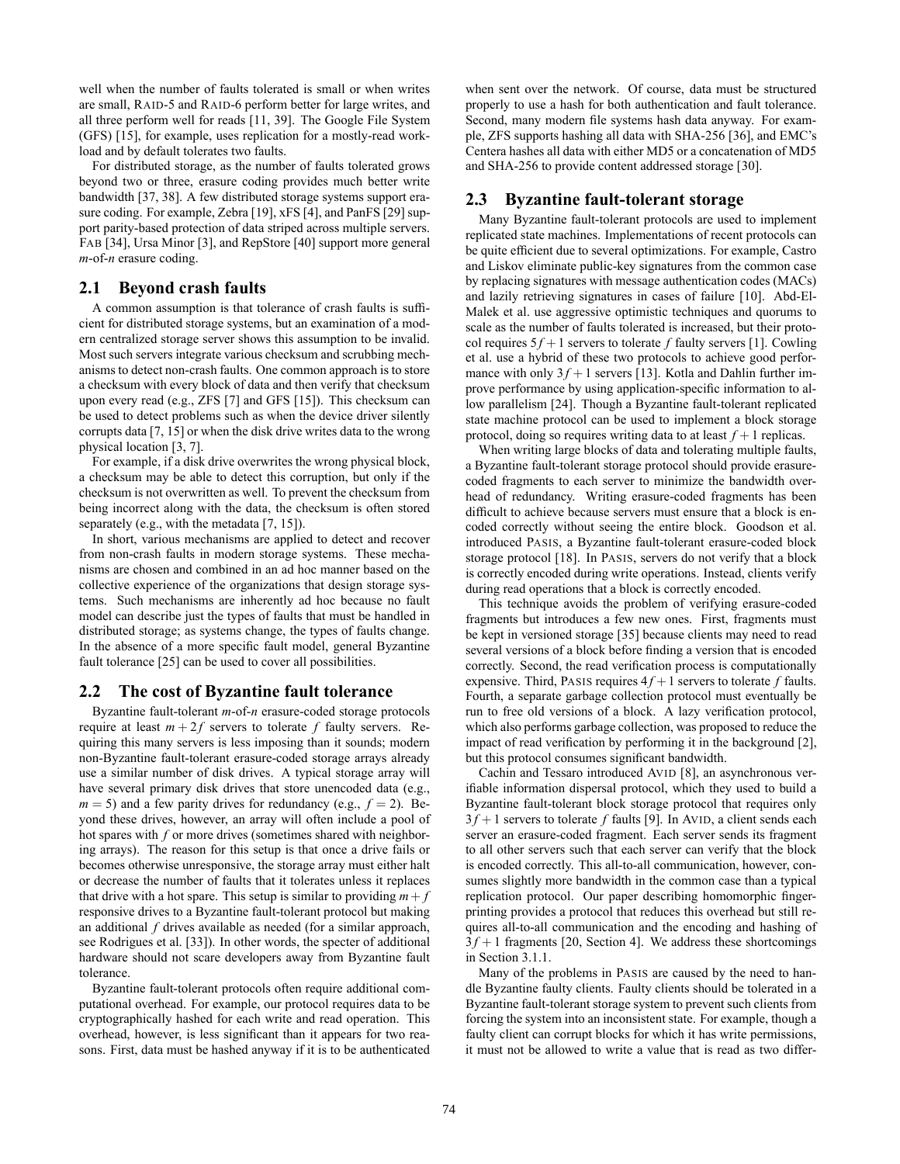well when the number of faults tolerated is small or when writes are small, RAID-5 and RAID-6 perform better for large writes, and all three perform well for reads [\[11,](#page-13-0) [39\]](#page-13-1). The Google File System (GFS) [\[15\]](#page-13-2), for example, uses replication for a mostly-read workload and by default tolerates two faults.

For distributed storage, as the number of faults tolerated grows beyond two or three, erasure coding provides much better write bandwidth [\[37,](#page-13-3) [38\]](#page-13-4). A few distributed storage systems support erasure coding. For example, Zebra [\[19\]](#page-13-5), xFS [\[4\]](#page-12-0), and PanFS [\[29\]](#page-13-6) support parity-based protection of data striped across multiple servers. FAB [\[34\]](#page-13-7), Ursa Minor [\[3\]](#page-12-1), and RepStore [\[40\]](#page-13-8) support more general *m*-of-*n* erasure coding.

# **2.1 Beyond crash faults**

A common assumption is that tolerance of crash faults is sufficient for distributed storage systems, but an examination of a modern centralized storage server shows this assumption to be invalid. Most such servers integrate various checksum and scrubbing mechanisms to detect non-crash faults. One common approach is to store a checksum with every block of data and then verify that checksum upon every read (e.g., ZFS [\[7\]](#page-12-2) and GFS [\[15\]](#page-13-2)). This checksum can be used to detect problems such as when the device driver silently corrupts data [\[7,](#page-12-2) [15\]](#page-13-2) or when the disk drive writes data to the wrong physical location [\[3,](#page-12-1) [7\]](#page-12-2).

For example, if a disk drive overwrites the wrong physical block, a checksum may be able to detect this corruption, but only if the checksum is not overwritten as well. To prevent the checksum from being incorrect along with the data, the checksum is often stored separately (e.g., with the metadata [\[7,](#page-12-2) [15\]](#page-13-2)).

In short, various mechanisms are applied to detect and recover from non-crash faults in modern storage systems. These mechanisms are chosen and combined in an ad hoc manner based on the collective experience of the organizations that design storage systems. Such mechanisms are inherently ad hoc because no fault model can describe just the types of faults that must be handled in distributed storage; as systems change, the types of faults change. In the absence of a more specific fault model, general Byzantine fault tolerance [\[25\]](#page-13-9) can be used to cover all possibilities.

## **2.2 The cost of Byzantine fault tolerance**

Byzantine fault-tolerant *m*-of-*n* erasure-coded storage protocols require at least  $m + 2f$  servers to tolerate f faulty servers. Requiring this many servers is less imposing than it sounds; modern non-Byzantine fault-tolerant erasure-coded storage arrays already use a similar number of disk drives. A typical storage array will have several primary disk drives that store unencoded data (e.g.,  $m = 5$ ) and a few parity drives for redundancy (e.g.,  $f = 2$ ). Beyond these drives, however, an array will often include a pool of hot spares with *f* or more drives (sometimes shared with neighboring arrays). The reason for this setup is that once a drive fails or becomes otherwise unresponsive, the storage array must either halt or decrease the number of faults that it tolerates unless it replaces that drive with a hot spare. This setup is similar to providing  $m + f$ responsive drives to a Byzantine fault-tolerant protocol but making an additional *f* drives available as needed (for a similar approach, see Rodrigues et al. [\[33\]](#page-13-10)). In other words, the specter of additional hardware should not scare developers away from Byzantine fault tolerance.

Byzantine fault-tolerant protocols often require additional computational overhead. For example, our protocol requires data to be cryptographically hashed for each write and read operation. This overhead, however, is less significant than it appears for two reasons. First, data must be hashed anyway if it is to be authenticated

when sent over the network. Of course, data must be structured properly to use a hash for both authentication and fault tolerance. Second, many modern file systems hash data anyway. For example, ZFS supports hashing all data with SHA-256 [\[36\]](#page-13-11), and EMC's Centera hashes all data with either MD5 or a concatenation of MD5 and SHA-256 to provide content addressed storage [\[30\]](#page-13-12).

## <span id="page-1-0"></span>**2.3 Byzantine fault-tolerant storage**

Many Byzantine fault-tolerant protocols are used to implement replicated state machines. Implementations of recent protocols can be quite efficient due to several optimizations. For example, Castro and Liskov eliminate public-key signatures from the common case by replacing signatures with message authentication codes (MACs) and lazily retrieving signatures in cases of failure [\[10\]](#page-13-13). Abd-El-Malek et al. use aggressive optimistic techniques and quorums to scale as the number of faults tolerated is increased, but their protocol requires  $5f + 1$  servers to tolerate f faulty servers [\[1\]](#page-12-3). Cowling et al. use a hybrid of these two protocols to achieve good performance with only  $3f + 1$  servers [\[13\]](#page-13-14). Kotla and Dahlin further improve performance by using application-specific information to allow parallelism [\[24\]](#page-13-15). Though a Byzantine fault-tolerant replicated state machine protocol can be used to implement a block storage protocol, doing so requires writing data to at least  $f + 1$  replicas.

When writing large blocks of data and tolerating multiple faults, a Byzantine fault-tolerant storage protocol should provide erasurecoded fragments to each server to minimize the bandwidth overhead of redundancy. Writing erasure-coded fragments has been difficult to achieve because servers must ensure that a block is encoded correctly without seeing the entire block. Goodson et al. introduced PASIS, a Byzantine fault-tolerant erasure-coded block storage protocol [\[18\]](#page-13-16). In PASIS, servers do not verify that a block is correctly encoded during write operations. Instead, clients verify during read operations that a block is correctly encoded.

This technique avoids the problem of verifying erasure-coded fragments but introduces a few new ones. First, fragments must be kept in versioned storage [\[35\]](#page-13-17) because clients may need to read several versions of a block before finding a version that is encoded correctly. Second, the read verification process is computationally expensive. Third, PASIS requires  $4f + 1$  servers to tolerate f faults. Fourth, a separate garbage collection protocol must eventually be run to free old versions of a block. A lazy verification protocol, which also performs garbage collection, was proposed to reduce the impact of read verification by performing it in the background [\[2\]](#page-12-4), but this protocol consumes significant bandwidth.

Cachin and Tessaro introduced AVID [\[8\]](#page-12-5), an asynchronous verifiable information dispersal protocol, which they used to build a Byzantine fault-tolerant block storage protocol that requires only  $3f + 1$  servers to tolerate f faults [\[9\]](#page-13-18). In AVID, a client sends each server an erasure-coded fragment. Each server sends its fragment to all other servers such that each server can verify that the block is encoded correctly. This all-to-all communication, however, consumes slightly more bandwidth in the common case than a typical replication protocol. Our paper describing homomorphic fingerprinting provides a protocol that reduces this overhead but still requires all-to-all communication and the encoding and hashing of  $3f + 1$  fragments [\[20,](#page-13-19) Section 4]. We address these shortcomings in Section [3.1.1.](#page-2-0)

Many of the problems in PASIS are caused by the need to handle Byzantine faulty clients. Faulty clients should be tolerated in a Byzantine fault-tolerant storage system to prevent such clients from forcing the system into an inconsistent state. For example, though a faulty client can corrupt blocks for which it has write permissions, it must not be allowed to write a value that is read as two differ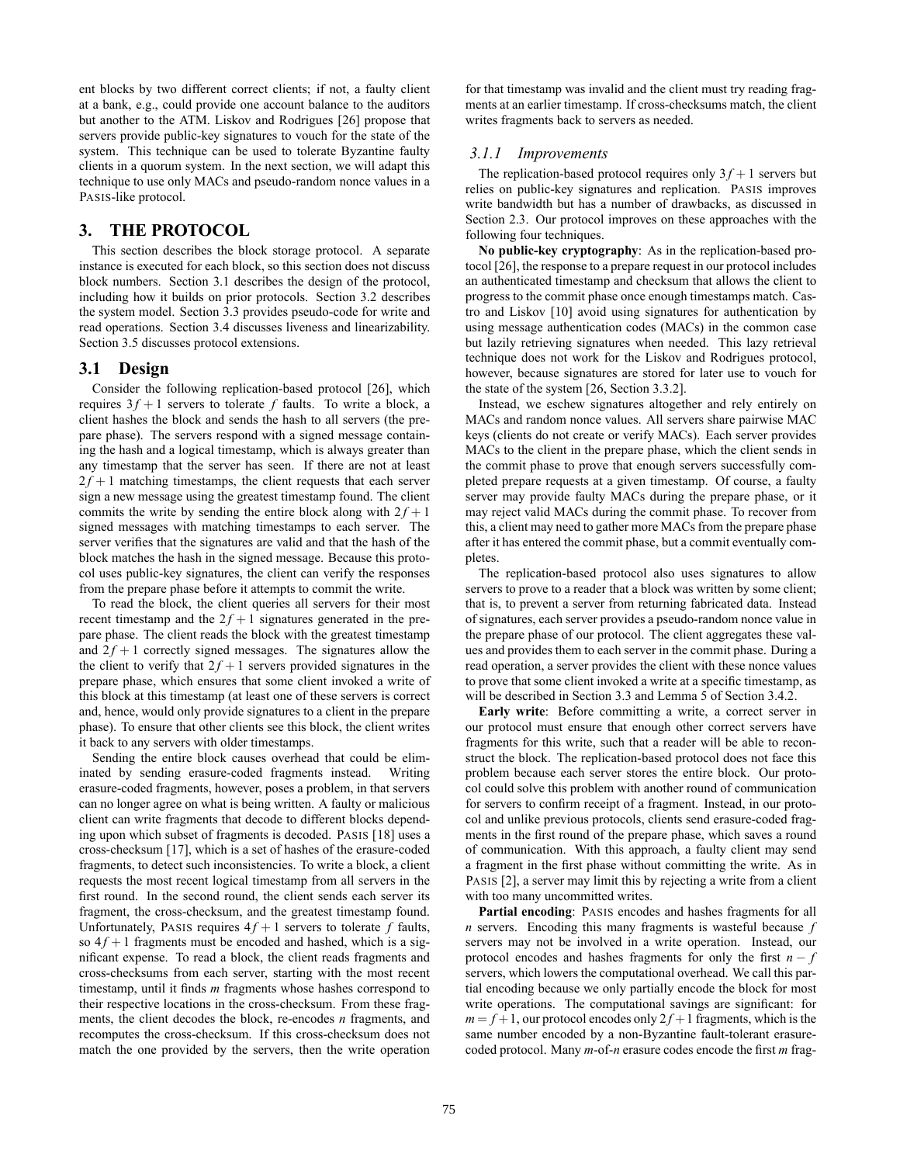ent blocks by two different correct clients; if not, a faulty client at a bank, e.g., could provide one account balance to the auditors but another to the ATM. Liskov and Rodrigues [\[26\]](#page-13-20) propose that servers provide public-key signatures to vouch for the state of the system. This technique can be used to tolerate Byzantine faulty clients in a quorum system. In the next section, we will adapt this technique to use only MACs and pseudo-random nonce values in a PASIS-like protocol.

# <span id="page-2-2"></span>**3. THE PROTOCOL**

This section describes the block storage protocol. A separate instance is executed for each block, so this section does not discuss block numbers. Section [3.1](#page-2-1) describes the design of the protocol, including how it builds on prior protocols. Section [3.2](#page-3-0) describes the system model. Section [3.3](#page-4-0) provides pseudo-code for write and read operations. Section [3.4](#page-6-0) discusses liveness and linearizability. Section [3.5](#page-9-0) discusses protocol extensions.

#### <span id="page-2-1"></span>**3.1 Design**

Consider the following replication-based protocol [\[26\]](#page-13-20), which requires  $3f + 1$  servers to tolerate f faults. To write a block, a client hashes the block and sends the hash to all servers (the prepare phase). The servers respond with a signed message containing the hash and a logical timestamp, which is always greater than any timestamp that the server has seen. If there are not at least  $2f + 1$  matching timestamps, the client requests that each server sign a new message using the greatest timestamp found. The client commits the write by sending the entire block along with  $2f + 1$ signed messages with matching timestamps to each server. The server verifies that the signatures are valid and that the hash of the block matches the hash in the signed message. Because this protocol uses public-key signatures, the client can verify the responses from the prepare phase before it attempts to commit the write.

To read the block, the client queries all servers for their most recent timestamp and the  $2f + 1$  signatures generated in the prepare phase. The client reads the block with the greatest timestamp and  $2f + 1$  correctly signed messages. The signatures allow the the client to verify that  $2f + 1$  servers provided signatures in the prepare phase, which ensures that some client invoked a write of this block at this timestamp (at least one of these servers is correct and, hence, would only provide signatures to a client in the prepare phase). To ensure that other clients see this block, the client writes it back to any servers with older timestamps.

Sending the entire block causes overhead that could be eliminated by sending erasure-coded fragments instead. Writing erasure-coded fragments, however, poses a problem, in that servers can no longer agree on what is being written. A faulty or malicious client can write fragments that decode to different blocks depending upon which subset of fragments is decoded. PASIS [\[18\]](#page-13-16) uses a cross-checksum [\[17\]](#page-13-21), which is a set of hashes of the erasure-coded fragments, to detect such inconsistencies. To write a block, a client requests the most recent logical timestamp from all servers in the first round. In the second round, the client sends each server its fragment, the cross-checksum, and the greatest timestamp found. Unfortunately, PASIS requires  $4f + 1$  servers to tolerate f faults, so  $4f + 1$  fragments must be encoded and hashed, which is a significant expense. To read a block, the client reads fragments and cross-checksums from each server, starting with the most recent timestamp, until it finds *m* fragments whose hashes correspond to their respective locations in the cross-checksum. From these fragments, the client decodes the block, re-encodes *n* fragments, and recomputes the cross-checksum. If this cross-checksum does not match the one provided by the servers, then the write operation

for that timestamp was invalid and the client must try reading fragments at an earlier timestamp. If cross-checksums match, the client writes fragments back to servers as needed.

#### <span id="page-2-0"></span>*3.1.1 Improvements*

The replication-based protocol requires only  $3f + 1$  servers but relies on public-key signatures and replication. PASIS improves write bandwidth but has a number of drawbacks, as discussed in Section [2.3.](#page-1-0) Our protocol improves on these approaches with the following four techniques.

**No public-key cryptography**: As in the replication-based protocol [\[26\]](#page-13-20), the response to a prepare request in our protocol includes an authenticated timestamp and checksum that allows the client to progress to the commit phase once enough timestamps match. Castro and Liskov [\[10\]](#page-13-13) avoid using signatures for authentication by using message authentication codes (MACs) in the common case but lazily retrieving signatures when needed. This lazy retrieval technique does not work for the Liskov and Rodrigues protocol, however, because signatures are stored for later use to vouch for the state of the system [\[26,](#page-13-20) Section 3.3.2].

Instead, we eschew signatures altogether and rely entirely on MACs and random nonce values. All servers share pairwise MAC keys (clients do not create or verify MACs). Each server provides MACs to the client in the prepare phase, which the client sends in the commit phase to prove that enough servers successfully completed prepare requests at a given timestamp. Of course, a faulty server may provide faulty MACs during the prepare phase, or it may reject valid MACs during the commit phase. To recover from this, a client may need to gather more MACs from the prepare phase after it has entered the commit phase, but a commit eventually completes.

The replication-based protocol also uses signatures to allow servers to prove to a reader that a block was written by some client; that is, to prevent a server from returning fabricated data. Instead of signatures, each server provides a pseudo-random nonce value in the prepare phase of our protocol. The client aggregates these values and provides them to each server in the commit phase. During a read operation, a server provides the client with these nonce values to prove that some client invoked a write at a specific timestamp, as will be described in Section [3.3](#page-4-0) and Lemma [5](#page-8-0) of Section [3.4.2.](#page-7-0)

**Early write**: Before committing a write, a correct server in our protocol must ensure that enough other correct servers have fragments for this write, such that a reader will be able to reconstruct the block. The replication-based protocol does not face this problem because each server stores the entire block. Our protocol could solve this problem with another round of communication for servers to confirm receipt of a fragment. Instead, in our protocol and unlike previous protocols, clients send erasure-coded fragments in the first round of the prepare phase, which saves a round of communication. With this approach, a faulty client may send a fragment in the first phase without committing the write. As in PASIS [\[2\]](#page-12-4), a server may limit this by rejecting a write from a client with too many uncommitted writes.

**Partial encoding**: PASIS encodes and hashes fragments for all *n* servers. Encoding this many fragments is wasteful because *f* servers may not be involved in a write operation. Instead, our protocol encodes and hashes fragments for only the first  $n - f$ servers, which lowers the computational overhead. We call this partial encoding because we only partially encode the block for most write operations. The computational savings are significant: for  $m = f + 1$ , our protocol encodes only  $2f + 1$  fragments, which is the same number encoded by a non-Byzantine fault-tolerant erasurecoded protocol. Many *m*-of-*n* erasure codes encode the first *m* frag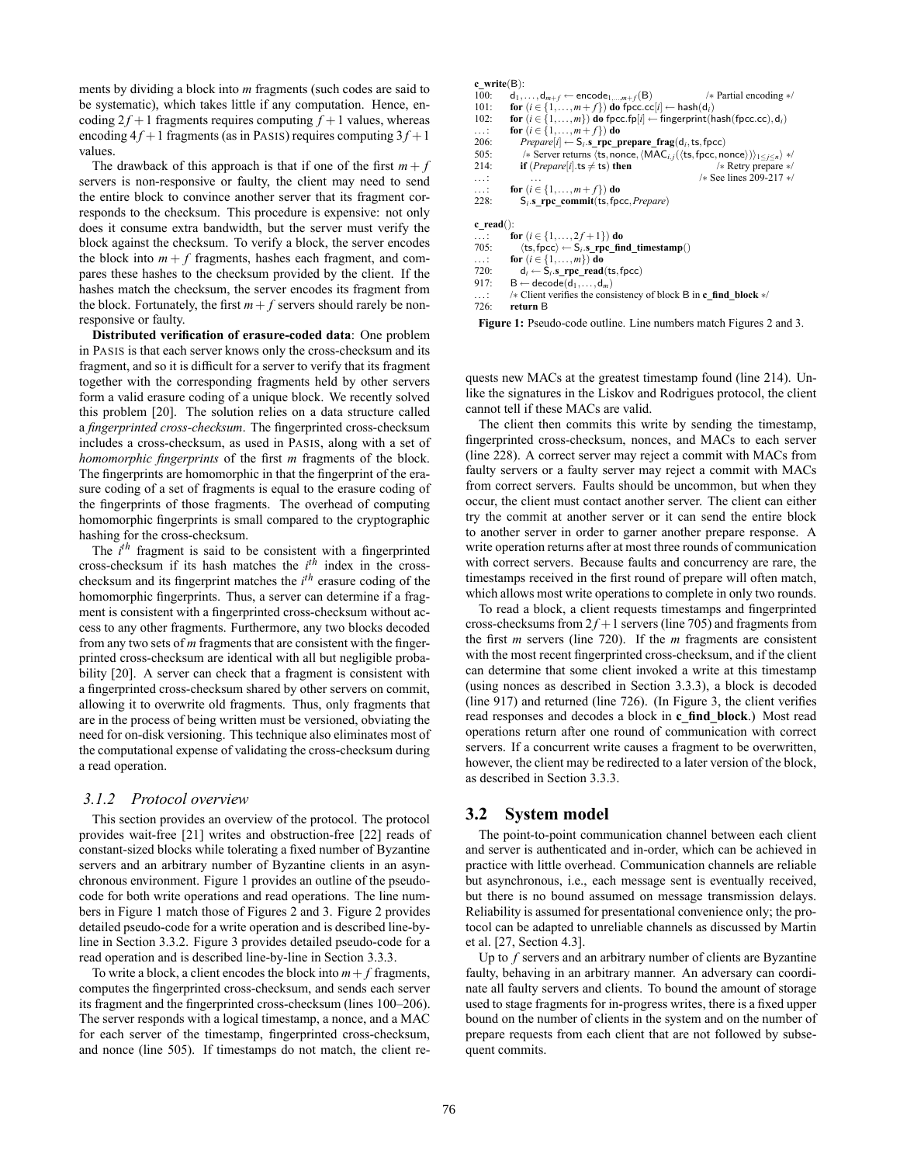ments by dividing a block into *m* fragments (such codes are said to be systematic), which takes little if any computation. Hence, encoding  $2f + 1$  fragments requires computing  $f + 1$  values, whereas encoding  $4f + 1$  fragments (as in PASIS) requires computing  $3f + 1$ values.

The drawback of this approach is that if one of the first  $m + f$ servers is non-responsive or faulty, the client may need to send the entire block to convince another server that its fragment corresponds to the checksum. This procedure is expensive: not only does it consume extra bandwidth, but the server must verify the block against the checksum. To verify a block, the server encodes the block into  $m + f$  fragments, hashes each fragment, and compares these hashes to the checksum provided by the client. If the hashes match the checksum, the server encodes its fragment from the block. Fortunately, the first  $m + f$  servers should rarely be nonresponsive or faulty.

**Distributed verification of erasure-coded data**: One problem in PASIS is that each server knows only the cross-checksum and its fragment, and so it is difficult for a server to verify that its fragment together with the corresponding fragments held by other servers form a valid erasure coding of a unique block. We recently solved this problem [\[20\]](#page-13-19). The solution relies on a data structure called a *fingerprinted cross-checksum*. The fingerprinted cross-checksum includes a cross-checksum, as used in PASIS, along with a set of *homomorphic fingerprints* of the first *m* fragments of the block. The fingerprints are homomorphic in that the fingerprint of the erasure coding of a set of fragments is equal to the erasure coding of the fingerprints of those fragments. The overhead of computing homomorphic fingerprints is small compared to the cryptographic hashing for the cross-checksum.

The *i*<sup>th</sup> fragment is said to be consistent with a fingerprinted cross-checksum if its hash matches the *i th* index in the crosschecksum and its fingerprint matches the *i th* erasure coding of the homomorphic fingerprints. Thus, a server can determine if a fragment is consistent with a fingerprinted cross-checksum without access to any other fragments. Furthermore, any two blocks decoded from any two sets of *m* fragments that are consistent with the fingerprinted cross-checksum are identical with all but negligible probability [\[20\]](#page-13-19). A server can check that a fragment is consistent with a fingerprinted cross-checksum shared by other servers on commit, allowing it to overwrite old fragments. Thus, only fragments that are in the process of being written must be versioned, obviating the need for on-disk versioning. This technique also eliminates most of the computational expense of validating the cross-checksum during a read operation.

#### *3.1.2 Protocol overview*

This section provides an overview of the protocol. The protocol provides wait-free [\[21\]](#page-13-22) writes and obstruction-free [\[22\]](#page-13-23) reads of constant-sized blocks while tolerating a fixed number of Byzantine servers and an arbitrary number of Byzantine clients in an asynchronous environment. Figure [1](#page-3-1) provides an outline of the pseudocode for both write operations and read operations. The line numbers in Figure [1](#page-3-1) match those of Figures [2](#page-5-0) and [3.](#page-6-1) Figure [2](#page-5-0) provides detailed pseudo-code for a write operation and is described line-byline in Section [3.3.2.](#page-4-1) Figure [3](#page-6-1) provides detailed pseudo-code for a read operation and is described line-by-line in Section [3.3.3.](#page-5-1)

To write a block, a client encodes the block into  $m + f$  fragments, computes the fingerprinted cross-checksum, and sends each server its fragment and the fingerprinted cross-checksum (lines [100–](#page-5-2)[206\)](#page-5-3). The server responds with a logical timestamp, a nonce, and a MAC for each server of the timestamp, fingerprinted cross-checksum, and nonce (line [505\)](#page-5-4). If timestamps do not match, the client re-

**c\_write**(B):<br>100;<br>d, [100:](#page-5-2)  $d_1, ..., d_{m+f} \leftarrow \text{encode}_{1, ..., m+f}(B)$  /\* Partial encoding \*/<br>101: **for**  $(i \in \{1, ..., m+f\})$  do face  $c_c[i] \leftarrow \text{hash}(d_i)$ [101:](#page-5-5) **for**  $(i \in \{1, ..., m + f\})$  **do** fpcc.cc $[i] \leftarrow$  hash $(d_i)$ <br>102: **for**  $(i \in \{1, ..., m\})$  **do** fpcc.fp $[i] \leftarrow$  fingerprint(h for  $(i \in \{1, \ldots, m\})$  do fpcc.fp $[i] \leftarrow$  fingerprint(hash(fpcc.cc),d<sub>*i*</sub>) ...: **for**  $(i \in \{1, ..., m + f\})$  **do**<br>206: *Prenare*[*i*] ← S<sub>i</sub> s rnc n [206:](#page-5-3) *Prepare* $[i] \leftarrow S_i$ .**s\_rpc\_prepare\_frag**(d<sub>*i*</sub>, ts, fpcc) [505:](#page-5-4) /∗ Server returns (ts,nonce,  $\langle \overline{MAC}_{i,j}(\langle ts, \overline{fpec}, \overline{none}\rangle) \rangle_{1 \leq j \leq n} \rangle$  \*/<br>214: **if** (*Prepare*[*i*].ts ≠ ts) then /\* Retry prepare \*/  $if (Prepare[i].ts \neq ts) then$ ...: ... ... ... ... /∗ See lines [209](#page-5-8)[-217](#page-5-9) \*/ **for**  $(i \in \{1, ..., m + f\})$  **do** [228:](#page-5-10) S*<sup>i</sup>* .**s\_rpc\_commit**(ts,fpcc,*Prepare*) **c\_read**(): ...: **for**  $(i \in \{1, ..., 2f + 1\})$  **do**<br>705:  $\langle ts, \text{fpcc} \rangle \leftarrow S_i$ .**s** rpc fin [705:](#page-6-2)  $\langle ts, \text{fpcc} \rangle \leftarrow S_i \cdot s\_rpc\_find\_timestamp()$ ...: **for**  $(i \in \{1, ..., m\})$  **do**<br>720: **d**<sub>*i*</sub>  $\leftarrow$  **S**<sub>*i*</sub>.s **rpc** read [720:](#page-6-3)  $d_i \leftarrow S_i \cdot s\_rpc\_read(ts, fpcc)$ [917:](#page-6-4)  $B \leftarrow decode(d_1, ..., d_m)$ ...: /∗ Client verifies the consistency of block B in **c\_find\_block** ∗/<br>726: **return** B return **B** 

<span id="page-3-1"></span>**Figure 1:** Pseudo-code outline. Line numbers match Figures [2](#page-5-0) and [3.](#page-6-1)

quests new MACs at the greatest timestamp found (line [214\)](#page-5-7). Unlike the signatures in the Liskov and Rodrigues protocol, the client cannot tell if these MACs are valid.

The client then commits this write by sending the timestamp, fingerprinted cross-checksum, nonces, and MACs to each server (line [228\)](#page-5-10). A correct server may reject a commit with MACs from faulty servers or a faulty server may reject a commit with MACs from correct servers. Faults should be uncommon, but when they occur, the client must contact another server. The client can either try the commit at another server or it can send the entire block to another server in order to garner another prepare response. A write operation returns after at most three rounds of communication with correct servers. Because faults and concurrency are rare, the timestamps received in the first round of prepare will often match, which allows most write operations to complete in only two rounds.

To read a block, a client requests timestamps and fingerprinted cross-checksums from  $2f + 1$  servers (line [705\)](#page-6-2) and fragments from the first *m* servers (line [720\)](#page-6-3). If the *m* fragments are consistent with the most recent fingerprinted cross-checksum, and if the client can determine that some client invoked a write at this timestamp (using nonces as described in Section [3.3.3\)](#page-5-1), a block is decoded (line [917\)](#page-6-4) and returned (line [726\)](#page-6-5). (In Figure [3,](#page-6-1) the client verifies read responses and decodes a block in **c\_find\_block**.) Most read operations return after one round of communication with correct servers. If a concurrent write causes a fragment to be overwritten, however, the client may be redirected to a later version of the block, as described in Section [3.3.3.](#page-5-1)

### <span id="page-3-0"></span>**3.2 System model**

The point-to-point communication channel between each client and server is authenticated and in-order, which can be achieved in practice with little overhead. Communication channels are reliable but asynchronous, i.e., each message sent is eventually received, but there is no bound assumed on message transmission delays. Reliability is assumed for presentational convenience only; the protocol can be adapted to unreliable channels as discussed by Martin et al. [\[27,](#page-13-24) Section 4.3].

Up to *f* servers and an arbitrary number of clients are Byzantine faulty, behaving in an arbitrary manner. An adversary can coordinate all faulty servers and clients. To bound the amount of storage used to stage fragments for in-progress writes, there is a fixed upper bound on the number of clients in the system and on the number of prepare requests from each client that are not followed by subsequent commits.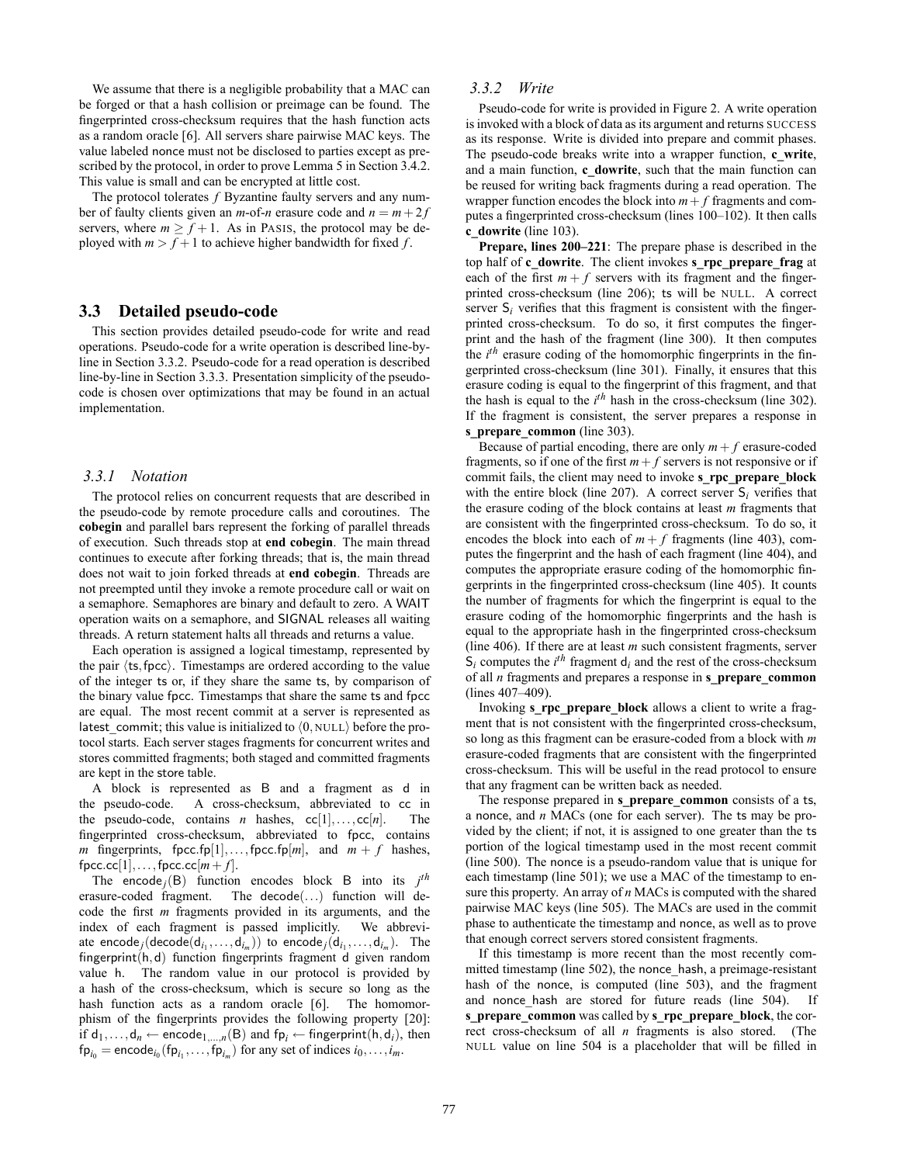We assume that there is a negligible probability that a MAC can be forged or that a hash collision or preimage can be found. The fingerprinted cross-checksum requires that the hash function acts as a random oracle [\[6\]](#page-12-6). All servers share pairwise MAC keys. The value labeled nonce must not be disclosed to parties except as prescribed by the protocol, in order to prove Lemma [5](#page-8-0) in Section [3.4.2.](#page-7-0) This value is small and can be encrypted at little cost.

The protocol tolerates *f* Byzantine faulty servers and any number of faulty clients given an *m*-of-*n* erasure code and  $n = m + 2f$ servers, where  $m \ge f + 1$ . As in PASIS, the protocol may be deployed with  $m > f + 1$  to achieve higher bandwidth for fixed f.

## <span id="page-4-0"></span>**3.3 Detailed pseudo-code**

This section provides detailed pseudo-code for write and read operations. Pseudo-code for a write operation is described line-byline in Section [3.3.2.](#page-4-1) Pseudo-code for a read operation is described line-by-line in Section [3.3.3.](#page-5-1) Presentation simplicity of the pseudocode is chosen over optimizations that may be found in an actual implementation.

#### *3.3.1 Notation*

The protocol relies on concurrent requests that are described in the pseudo-code by remote procedure calls and coroutines. The **cobegin** and parallel bars represent the forking of parallel threads of execution. Such threads stop at **end cobegin**. The main thread continues to execute after forking threads; that is, the main thread does not wait to join forked threads at **end cobegin**. Threads are not preempted until they invoke a remote procedure call or wait on a semaphore. Semaphores are binary and default to zero. A WAIT operation waits on a semaphore, and SIGNAL releases all waiting threads. A return statement halts all threads and returns a value.

Each operation is assigned a logical timestamp, represented by the pair  $\langle ts, \text{fpcc} \rangle$ . Timestamps are ordered according to the value of the integer ts or, if they share the same ts, by comparison of the binary value fpcc. Timestamps that share the same ts and fpcc are equal. The most recent commit at a server is represented as latest\_commit; this value is initialized to  $(0, \text{NULL})$  before the protocol starts. Each server stages fragments for concurrent writes and stores committed fragments; both staged and committed fragments are kept in the store table.

A block is represented as B and a fragment as d in the pseudo-code. A cross-checksum, abbreviated to cc in the pseudo-code, contains *n* hashes,  $cc[1], \ldots, cc[n]$ . The the pseudo-code, contains *n* hashes,  $cc[1], \ldots, cc[n]$ . fingerprinted cross-checksum, abbreviated to fpcc, contains *m* fingerprints, fpcc.fp[1],...,fpcc.fp[*m*], and  $m + f$  hashes,  $f$ pcc.cc $[1], \ldots,$ fpcc.cc $[m + f]$ .

The encode<sub>j</sub>(B) function encodes block B into its  $j<sup>th</sup>$ erasure-coded fragment. The decode(...) function will decode the first *m* fragments provided in its arguments, and the index of each fragment is passed implicitly. We abbreviate encode $_j(\mathsf{decode}(\mathsf{d}_{i_1}, \ldots, \mathsf{d}_{i_m}))$  to encode $_j(\mathsf{d}_{i_1}, \ldots, \mathsf{d}_{i_m})$ . The fingerprint(h,d) function fingerprints fragment d given random value h. The random value in our protocol is provided by a hash of the cross-checksum, which is secure so long as the hash function acts as a random oracle [\[6\]](#page-12-6). The homomorphism of the fingerprints provides the following property [\[20\]](#page-13-19): if  $d_1, ..., d_n \leftarrow$  encode<sub>1, ...,*n*</sub>(B) and  $fp_i \leftarrow$  fingerprint( $h, d_i$ ), then  $f\mathbf{p}_{i_0} = \text{encode}_{i_0}(f\mathbf{p}_{i_1}, \dots, f\mathbf{p}_{i_m})$  for any set of indices  $i_0, \dots, i_m$ .

#### *3.3.2 Write*

<span id="page-4-1"></span>Pseudo-code for write is provided in Figure [2.](#page-5-0) A write operation is invoked with a block of data as its argument and returns SUCCESS as its response. Write is divided into prepare and commit phases. The pseudo-code breaks write into a wrapper function, **c\_write**, and a main function, **c\_dowrite**, such that the main function can be reused for writing back fragments during a read operation. The wrapper function encodes the block into  $m + f$  fragments and computes a fingerprinted cross-checksum (lines [100–](#page-5-2)[102\)](#page-5-6). It then calls **c\_dowrite** (line [103\)](#page-5-11).

**Prepare, lines [200–](#page-5-12)[221](#page-5-13)**: The prepare phase is described in the top half of **c\_dowrite**. The client invokes **s\_rpc\_prepare\_frag** at each of the first  $m + f$  servers with its fragment and the fingerprinted cross-checksum (line [206\)](#page-5-3); ts will be NULL. A correct server  $S_i$  verifies that this fragment is consistent with the fingerprinted cross-checksum. To do so, it first computes the fingerprint and the hash of the fragment (line [300\)](#page-5-14). It then computes the *i*<sup>th</sup> erasure coding of the homomorphic fingerprints in the fingerprinted cross-checksum (line [301\)](#page-5-15). Finally, it ensures that this erasure coding is equal to the fingerprint of this fragment, and that the hash is equal to the  $i<sup>th</sup>$  hash in the cross-checksum (line [302\)](#page-5-16). If the fragment is consistent, the server prepares a response in **s** prepare common (line [303\)](#page-5-17).

Because of partial encoding, there are only  $m + f$  erasure-coded fragments, so if one of the first  $m + f$  servers is not responsive or if commit fails, the client may need to invoke **s\_rpc\_prepare\_block** with the entire block (line [207\)](#page-5-18). A correct server  $S_i$  verifies that the erasure coding of the block contains at least *m* fragments that are consistent with the fingerprinted cross-checksum. To do so, it encodes the block into each of  $m + f$  fragments (line [403\)](#page-5-19), computes the fingerprint and the hash of each fragment (line [404\)](#page-5-20), and computes the appropriate erasure coding of the homomorphic fingerprints in the fingerprinted cross-checksum (line [405\)](#page-5-21). It counts the number of fragments for which the fingerprint is equal to the erasure coding of the homomorphic fingerprints and the hash is equal to the appropriate hash in the fingerprinted cross-checksum (line [406\)](#page-5-22). If there are at least *m* such consistent fragments, server  $S_i$  computes the  $i^{th}$  fragment  $d_i$  and the rest of the cross-checksum of all *n* fragments and prepares a response in **s\_prepare\_common** (lines [407](#page-5-23)[–409\)](#page-5-24).

Invoking **s\_rpc\_prepare\_block** allows a client to write a fragment that is not consistent with the fingerprinted cross-checksum, so long as this fragment can be erasure-coded from a block with *m* erasure-coded fragments that are consistent with the fingerprinted cross-checksum. This will be useful in the read protocol to ensure that any fragment can be written back as needed.

The response prepared in **s\_prepare\_common** consists of a ts, a nonce, and *n* MACs (one for each server). The ts may be provided by the client; if not, it is assigned to one greater than the ts portion of the logical timestamp used in the most recent commit (line [500\)](#page-5-25). The nonce is a pseudo-random value that is unique for each timestamp (line [501\)](#page-5-26); we use a MAC of the timestamp to ensure this property. An array of *n* MACs is computed with the shared pairwise MAC keys (line [505\)](#page-5-4). The MACs are used in the commit phase to authenticate the timestamp and nonce, as well as to prove that enough correct servers stored consistent fragments.

If this timestamp is more recent than the most recently com-mitted timestamp (line [502\)](#page-5-27), the nonce hash, a preimage-resistant hash of the nonce, is computed (line [503\)](#page-5-28), and the fragment and nonce\_hash are stored for future reads (line [504\)](#page-5-29). If **s\_prepare\_common** was called by **s\_rpc\_prepare\_block**, the correct cross-checksum of all *n* fragments is also stored. (The NULL value on line [504](#page-5-29) is a placeholder that will be filled in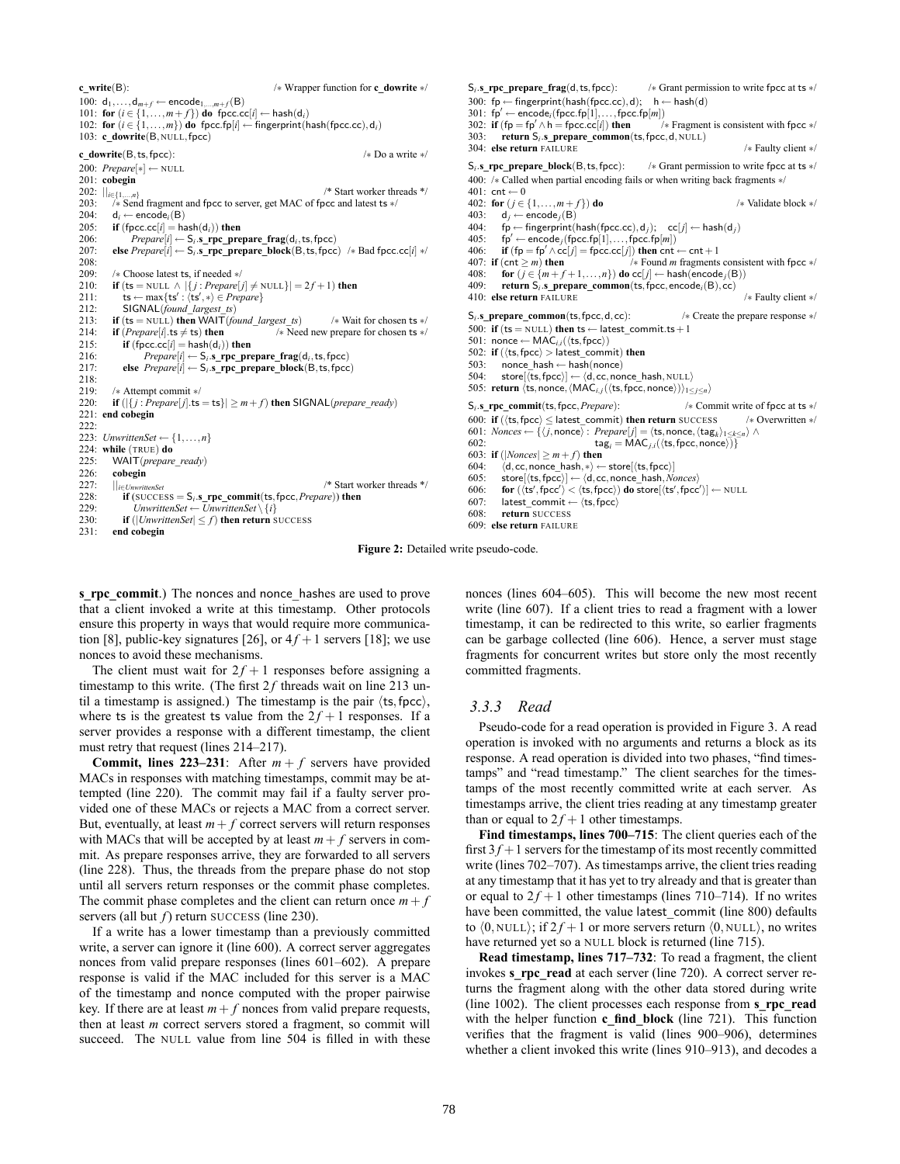<span id="page-5-45"></span><span id="page-5-44"></span><span id="page-5-43"></span><span id="page-5-30"></span><span id="page-5-18"></span><span id="page-5-12"></span><span id="page-5-8"></span><span id="page-5-7"></span><span id="page-5-6"></span><span id="page-5-5"></span><span id="page-5-3"></span><span id="page-5-2"></span>**c\_write**(B): /∗ Wrapper function for **c\_dowrite** ∗/ 100:  $\mathsf{d}_1,\ldots,\mathsf{d}_{m+f} \leftarrow \mathsf{encode}_{1,\ldots,m+f}(\mathsf{B})$ 101: **for**  $(i \in \{1, ..., m + f\})$  **do** fpcc.cc[ $i$ ] ← hash( $d_i$ )<br>102: **for**  $(i \in \{1, ..., m\})$  **do** fpcc.fp[ $i$ ] ← fingerprint(hash(fpcc.cc),d<sub>i</sub>) 103: **c** dowrite(B, NULL, fpcc) **c\_dowrite**(B,ts,fpcc): /∗ Do a write ∗/ 200: *Prepare*[∗] ← NULL 201: **cobegin** 202: ||*i*∈{1,...,*n*} /\* Start worker threads \*/ 203: /∗ Send fragment and fpcc to server, get MAC of fpcc and latest ts  $*$ /<br>204: d<sub>i</sub>  $\leftarrow$  encode.(B) 204:  $d_i \leftarrow \text{encode}_i(B)$ <br>205: **if** (foce coli) = ha 205: **if** (fpcc.cc[ $i$ ] = hash( $d_i$ )) **then**<br>206: *Prenare*[ $i$ ]  $\leftarrow$  S<sub>i</sub> s rnc pre 206: *Prepare*[*i*] ← S*<sup>i</sup>* .**s\_rpc\_prepare\_frag**(d*<sup>i</sup>* ,ts,fpcc) 207: **else** *Prepare*[*i*] ← S*<sup>i</sup>* .**s\_rpc\_prepare\_block**(B,ts,fpcc) /∗ Bad fpcc.cc[*i*] ∗/  $\frac{208}{209}$ /∗ Choose latest ts, if needed ∗/ 210: **if**  $(ts = NULL \land |\{j : Prepare[j] \neq NULL\}| = 2f + 1)$  then<br>211:  $t s \leftarrow max\{ts' : (ts' * ) \in Prepare\}$ 211:  $ts \leftarrow max\{ts' : \langle ts', * \rangle \in Prepare\}$ 212: **SIGNAL**(*found\_largest\_ts*)<br>213: **if**  $(ts = NULL)$  then WAIT(*fo* **if** (ts = NULL) then WAIT(*found\_largest\_ts*) /\* Wait for chosen ts \*/<br> **if** (*Prepare*[*i*].ts  $\neq$  ts) then /\* Need new prepare for chosen ts \*/ 214: **if**  $(Prepare[i].ts \neq ts)$  **then** /\* Need new prepare for chosen ts \*/<br>215: **if** (foce coli) = hash(d.)) **then** 215: **if** (fpcc.cc[*i*] = hash(d<sub>*i*</sub>)) **then**<br>216: *Prepare*[*i*]  $\leftarrow$  S<sub>*i*</sub>**s** rpc pro 216: *Prepare*[ $i$ ]  $\leftarrow$  S<sub>*i*</sub>.**s\_rpc\_prepare\_frag**( $d_i$ , ts, fpcc) 217: **else**  $Prepare[i] \leftarrow S_i \cdot s\_rpc\_prepare\_block(B, ts, fpcc)$ 218: 219: /∗ Attempt commit \*/<br>220: **if** ( $\{j : Prepare[j]$ .ts  $\textbf{if } (|\{j : \textit{Prepare}[j].\text{ts} = \text{ts}\}| \geq m + f \text{)} \textbf{then } \textbf{SIGNAL}(prepare\_ready)$ 221: **end cobegin**  $222:$ 223: *UnwrittenSet* ←  $\{1,\ldots,n\}$ <br>224: while (TRUE) do 224: **while** (TRUE) **do** 225: WAIT(*prepare*\_*ready*) 226: **cobegin**<br>227:  $||_{i \in I}$ 227:  $||_{i \in \text{UnwrittenSet}}$  /\* Start worker threads \*/<br>228: **if** (SUCCESS = S<sub>i</sub>.s rpc commit (ts. fpcc. *Prepare*)) then 228: **if** (SUCCESS =  $S_i$ **.s\_rpc\_commit**(ts, fpcc, *Prepare*)) **then** 229: *UnwrittenSet* ← *UnwrittenSet* \ {*i*}<br>230: **if** (*UnwrittenSet* | < *f*) **then return** S 230: **if** ( $|UnwrittenSet| \leq f$ ) **then return** SUCCESS 231: **end cobegin** 231: **end cobegin**

<span id="page-5-50"></span><span id="page-5-49"></span><span id="page-5-48"></span><span id="page-5-42"></span><span id="page-5-27"></span><span id="page-5-26"></span><span id="page-5-24"></span><span id="page-5-23"></span><span id="page-5-22"></span><span id="page-5-21"></span><span id="page-5-20"></span><span id="page-5-19"></span><span id="page-5-17"></span><span id="page-5-16"></span><span id="page-5-15"></span><span id="page-5-14"></span><span id="page-5-11"></span>S<sub>i</sub>.s\_rpc\_prepare\_frag(d, ts, fpcc): .\* Grant permission to write fpcc at ts ∗/<br>h ← hash(d) 300: fp ← fingerprint(hash(fpcc.cc),d); h ← hash(d)<br>301: fp' ← encode<sub>i</sub>(fpcc.fp[1],...,fpcc.fp[*m*])<br>302: **if** (fp = fp' ∧ h = fpcc.cc[*i*]) **then** /\* Fragment is consistent with fpcc \*/ 303: **return** S*<sup>i</sup>* .**s\_prepare\_common**(ts,fpcc,d, NULL) 304: **else return** FAILURE /∗ Faulty client ∗/ S<sub>*i*</sub>.s rpc prepare block(B, ts, fpcc): /\* Grant permission to write fpcc at ts ∗/ 400: /∗ Called when partial encoding fails or when writing back fragments ∗/  $401:$  cnt  $\leftarrow 0$ 402: **for** ( $j \in \{1, ..., m + f\}$ ) **do** /\* Validate block \*/<br>403: **d**<sub>i</sub> ← encode<sub>*i*</sub>(B) 403:  $d_j$  ← encode<sub>*j*</sub>(B)<br>404: fn ← fingerprint(l 404:  $\mathbf{fp} \leftarrow \text{fingerprint}(\text{hash}(\text{fpcc}.\text{cc}), \mathbf{d}_j); \quad \text{cc}[j] \leftarrow \text{hash}(\mathbf{d}_j)$ <br>405:  $\mathbf{fp}' \leftarrow \text{encode}(\text{fpcc} \text{ fh}[1] \quad \text{force} \text{ fh}[m])$ 405:  $\mathfrak{fp}' \leftarrow \text{encode}_j(\mathfrak{fpcc.fp}[1], \dots, \mathfrak{fpcc.fp}[m])$ <br>406: **if** ( $\mathfrak{fp} = \mathfrak{fp}' \wedge \mathfrak{cc}[i] = \mathfrak{fpcc} \mathfrak{cc}[i]$ ) then cnt  $\textbf{if}$  (fp = fp'  $\wedge$  cc[ $j$ ] = fpcc.cc[ $j$ ]) **then** cnt  $\leftarrow$  cnt + 1 407: **if**  $(\text{cnt} \ge m)$  **then** /\* Found *m* fragments consistent with fpcc \*/<br>408: **for**  $(i \in \{m+f+1\}$  = n} do cc[i]  $\leftarrow$  bash(encode (R)) 408: **for**  $\overline{(j} \in \{m+f+1,\ldots,n\})$  **do** cc[ $j$ ] ← hash(encode $j(B)$ )<br>409: **return** S<sub>i</sub> s prepare common(ts face encode $i(B)$  cc) 409: **return** S*<sup>i</sup>* .**s\_prepare\_common**(ts,fpcc,encode*i*(B),cc) 410: **else return** FAILURE /∗ Faulty client ∗/ S*i* .**s\_prepare\_common**(ts,fpcc,d,cc): /∗ Create the prepare response ∗/ 500: **if**  $(ts = NULL)$  **then**  $ts \leftarrow$  latest\_commit.ts + 1 501: nonce  $\leftarrow$  MAC<sub>*i*,*i*</sub>( $\langle$ ts,fpcc $\rangle$ ) 502: **if**  $(\langle ts, \text{fpcc} \rangle > \text{latest\_commit})$  **then**<br>503: nonce hash  $\leftarrow$  hash(nonce) 503: nonce\_hash ← hash(nonce)<br>504: store[(ts. fpcc)] ← (d. cc. non  $\vert \text{store} \vert \langle \text{ts}, \text{fpcc} \rangle \vert \leftarrow \langle \text{d}, \text{cc}, \text{nonce-hash}, \text{NULL} \rangle$ 505: **return**  $\langle$ **ts**, nonce,  $\langle MAC_{i,j}(\langle$ **ts, fpcc, nonce** $\rangle)\rangle_{1\leq j\leq n}\rangle$ S*i* .**s\_rpc\_commit**(ts,fpcc,*Prepare*): /∗ Commit write of fpcc at ts ∗/ 600: **if**  $(\langle ts, \text{fpcc} \rangle \leq \text{latest commit})$  **then return** SUCCESS /\* Overwritten \*/  $601: \textit{ Nonces} \leftarrow \{\langle j, \text{none} \rangle : \textit{Prepare}[j] = \langle \texttt{ts}, \texttt{none}, \langle \texttt{tag}_k \rangle_{1 \leq k \leq n} \rangle \land$ 602:  $\text{tag}_i = \text{MAC}_{j,i}(\langle \text{ts}, \text{fpcc}, \text{none} \rangle)$ 603: **if** (|*Nonces*| $\geq m+f$ ) **then**<br>604: (d cc nonce hash  $*\rangle \leftarrow$ 604:  $\langle d, cc, nonce\_hash, *\rangle \leftarrow store[\langle ts, fpcc \rangle]$ <br>605: store[ $\langle ts, fpcc \rangle$ ] ←  $\langle d, cc, nonce\_hash, Ne \rangle$ 605: store $[\text{ts}, \text{fpcc}] \leftarrow \langle \text{d}, \text{cc}, \text{none} \rangle$  hash, *Nonces* $\rangle$ <br>606: **for**  $(\text{ts}', \text{fpcc}') \leq \langle \text{ts}, \text{fpcc} \rangle$  do store $[\text{ts}', \text{fpcc}]$  $606$ : **for**  $(\langle \text{ts}', \text{fpcc}' \rangle < \langle \text{ts}, \text{fpcc} \rangle)$  **do** store $[\langle \text{ts}', \text{fpcc}' \rangle] \leftarrow \text{NULL}$ 607: latest\_commit  $\leftarrow$   $\langle$ ts,fpcc $\rangle$ 608: **return** SUCCESS 609: **else return** FAILURE

<span id="page-5-46"></span><span id="page-5-41"></span><span id="page-5-38"></span><span id="page-5-36"></span><span id="page-5-35"></span><span id="page-5-28"></span><span id="page-5-25"></span><span id="page-5-9"></span><span id="page-5-4"></span><span id="page-5-0"></span>**Figure 2:** Detailed write pseudo-code.

<span id="page-5-34"></span><span id="page-5-33"></span><span id="page-5-32"></span><span id="page-5-31"></span><span id="page-5-13"></span><span id="page-5-10"></span>**s** rpc commit.) The nonces and nonce hashes are used to prove that a client invoked a write at this timestamp. Other protocols ensure this property in ways that would require more communica-tion [\[8\]](#page-12-5), public-key signatures [\[26\]](#page-13-20), or  $4f + 1$  servers [\[18\]](#page-13-16); we use nonces to avoid these mechanisms.

The client must wait for  $2f + 1$  responses before assigning a timestamp to this write. (The first  $2f$  threads wait on line [213](#page-5-30) until a timestamp is assigned.) The timestamp is the pair  $\langle ts, \text{fpcc} \rangle$ , where ts is the greatest ts value from the  $2f + 1$  responses. If a server provides a response with a different timestamp, the client must retry that request (lines [214–](#page-5-7)[217\)](#page-5-9).

**Commit, lines [223–](#page-5-31)[231](#page-5-32)**: After  $m + f$  servers have provided MACs in responses with matching timestamps, commit may be attempted (line [220\)](#page-5-33). The commit may fail if a faulty server provided one of these MACs or rejects a MAC from a correct server. But, eventually, at least  $m + f$  correct servers will return responses with MACs that will be accepted by at least  $m + f$  servers in commit. As prepare responses arrive, they are forwarded to all servers (line [228\)](#page-5-10). Thus, the threads from the prepare phase do not stop until all servers return responses or the commit phase completes. The commit phase completes and the client can return once  $m + f$ servers (all but *f*) return SUCCESS (line [230\)](#page-5-34).

If a write has a lower timestamp than a previously committed write, a server can ignore it (line [600\)](#page-5-35). A correct server aggregates nonces from valid prepare responses (lines [601](#page-5-36)[–602\)](#page-5-37). A prepare response is valid if the MAC included for this server is a MAC of the timestamp and nonce computed with the proper pairwise key. If there are at least  $m + f$  nonces from valid prepare requests, then at least *m* correct servers stored a fragment, so commit will succeed. The NULL value from line [504](#page-5-29) is filled in with these

<span id="page-5-47"></span><span id="page-5-40"></span><span id="page-5-39"></span><span id="page-5-37"></span><span id="page-5-29"></span>nonces (lines [604–](#page-5-38)[605\)](#page-5-39). This will become the new most recent write (line [607\)](#page-5-40). If a client tries to read a fragment with a lower timestamp, it can be redirected to this write, so earlier fragments can be garbage collected (line [606\)](#page-5-41). Hence, a server must stage fragments for concurrent writes but store only the most recently committed fragments.

### *3.3.3 Read*

<span id="page-5-1"></span>Pseudo-code for a read operation is provided in Figure [3.](#page-6-1) A read operation is invoked with no arguments and returns a block as its response. A read operation is divided into two phases, "find timestamps" and "read timestamp." The client searches for the timestamps of the most recently committed write at each server. As timestamps arrive, the client tries reading at any timestamp greater than or equal to  $2f + 1$  other timestamps.

**Find timestamps, lines [700](#page-6-6)[–715](#page-6-7)**: The client queries each of the first  $3f + 1$  servers for the timestamp of its most recently committed write (lines [702](#page-6-8)[–707\)](#page-6-9). As timestamps arrive, the client tries reading at any timestamp that it has yet to try already and that is greater than or equal to  $2f + 1$  other timestamps (lines [710](#page-6-10)[–714\)](#page-6-11). If no writes have been committed, the value latest commit (line [800\)](#page-6-12) defaults to  $\langle 0, \text{NULL} \rangle$ ; if  $2 f + 1$  or more servers return  $\langle 0, \text{NULL} \rangle$ , no writes have returned yet so a NULL block is returned (line [715\)](#page-6-7).

**Read timestamp, lines [717](#page-6-13)[–732](#page-6-14)**: To read a fragment, the client invokes **s** rpc read at each server (line [720\)](#page-6-3). A correct server returns the fragment along with the other data stored during write (line [1002\)](#page-6-15). The client processes each response from **s\_rpc\_read** with the helper function **c\_find\_block** (line [721\)](#page-6-16). This function verifies that the fragment is valid (lines [900](#page-6-17)[–906\)](#page-6-18), determines whether a client invoked this write (lines [910–](#page-6-19)[913\)](#page-6-20), and decodes a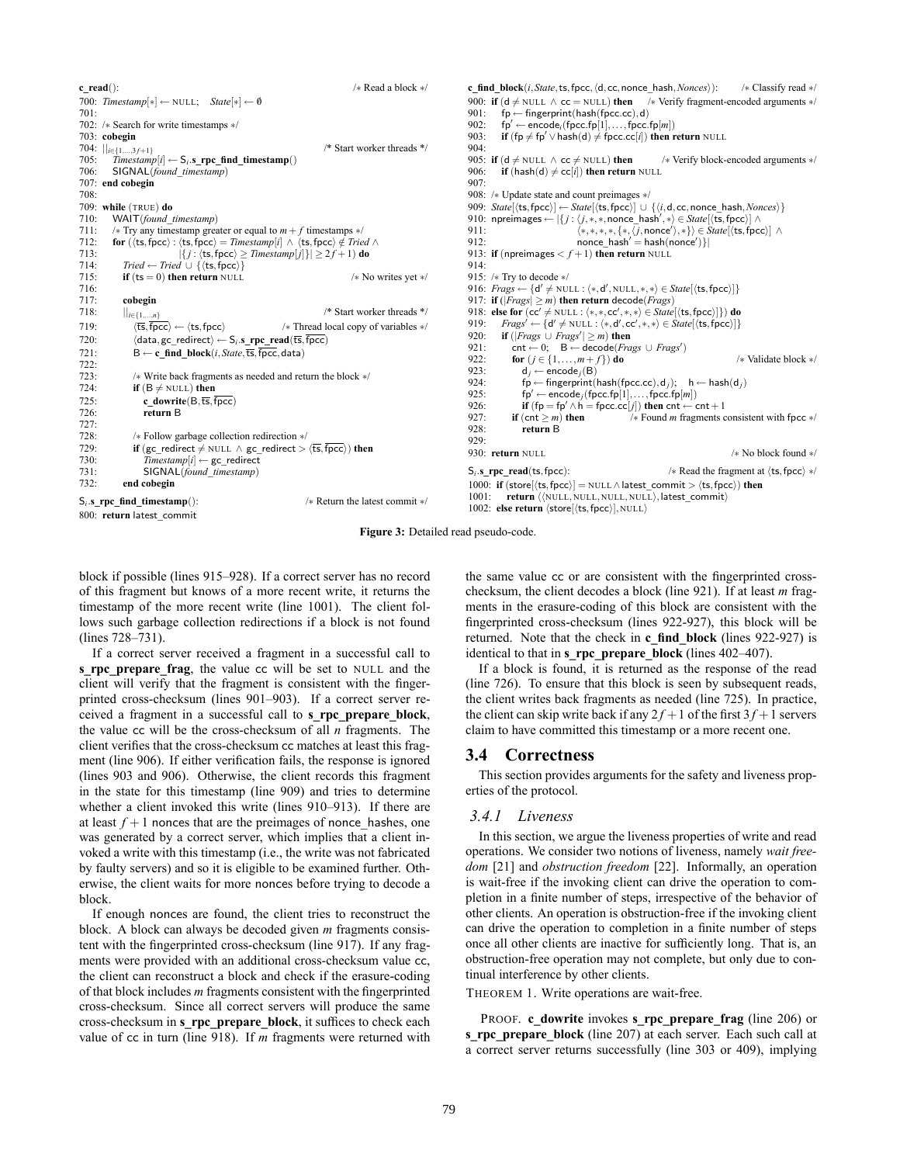<span id="page-6-34"></span><span id="page-6-13"></span><span id="page-6-11"></span><span id="page-6-10"></span><span id="page-6-9"></span><span id="page-6-8"></span><span id="page-6-7"></span><span id="page-6-6"></span><span id="page-6-3"></span><span id="page-6-2"></span>**c\_read**(): /∗ Read a block ∗/ 700:  $Timestamp[*] \leftarrow NULL; State[*] \leftarrow 0$ 701: 702: /∗ Search for write timestamps ∗/ 703: **cobegin** 704:  $||_{i \in \{1,...,3f+1\}}$ <br>705: *Timestam* /\* Start worker threads \*/ 705:  $Times \t{Im}(\iota) \leftarrow S_i \cdot s\_rpc\_find\_times \t{tamp}()$ 706: SIGNAL(*found*\_*timestamp*) 707: **end cobegin**  $708:709$ 709: **while** (TRUE) **do** 710: WAIT(*found*\_*timestamp*) 711: /∗ Try any timestamp greater or equal to *m*+ *f* timestamps ∗/ 712: **for** ( $\langle$ ts,fpcc $\rangle$ :  $\langle$ ts,fpcc $\rangle$  = *Timestamp*[*i*]  $\land$   $\langle$ ts,fpcc $\rangle \notin$ *Tried* ∧<br>713:  $\langle$ *I*  $\langle$ *i*  $\langle$ ts,fpcc $\rangle$  > *Timestamp*[*i*]  $\langle$  | > 2*f* + 1 ) **do**  $|{j : \langle \text{ts}, \text{fpcc} \rangle \geq \text{Timestamp}[j] \}| \geq 2f + 1)$  do  $714:$  *Tried* ← *Tried* ∪ { $\langle$ ts,fpcc $\rangle$ } 715: **if**  $(ts = 0)$  then **return** NULL /\* No writes yet \*/ 716: 717: **cobegin** 718: ||*i*∈{1,...,*n*} /\* Start worker threads \*/ 719:  $\langle \overline{\text{ts}}, \overline{\text{fpcc}} \rangle \leftarrow \langle \text{ts}, \text{fpcc} \rangle$  /\* Thread local copy of variables \*/ 720:  $\langle \text{data}, \text{gc\_redirect} \rangle \leftarrow S_i \cdot \text{s\_rpc\_read}(\overline{ts}, \text{fpcc})$ 721:  $B \leftarrow c \text{ find block}(i, State, \overline{ts}, \overline{fpcc}, data)$ 722: 723: /∗ Write back fragments as needed and return the block  $*$ /<br>724: **if** (B  $\neq$  NULL) **then**  $if(B \neq \text{NULL})$  then 725: **c\_dowrite**(B,  $\overline{ts}$ ,  $\overline{fpcc}$ ) 726: **return** B 727: 728: /∗ Follow garbage collection redirection ∗/ 729: **if** (gc\_redirect  $\neq$  NULL  $\land$  gc\_redirect  $>$   $\langle \overline{ts}, \overline{f}pcc \rangle$ ) **then**<br>730: *Timestampli*  $\leftarrow$  gc\_redirect 730: *Timestamp*[*i*] ← gc\_redirect 731: SIGNAL(*found*\_*timestamp*) 732: **end cobegin** S<sub>i</sub>.s rpc find timestamp(): .**s\_rpc\_find\_timestamp**(): /∗ Return the latest commit ∗/ 800: **return** latest\_commit 907: 914: 929:

<span id="page-6-35"></span><span id="page-6-29"></span><span id="page-6-28"></span><span id="page-6-27"></span><span id="page-6-26"></span><span id="page-6-21"></span><span id="page-6-20"></span><span id="page-6-19"></span><span id="page-6-18"></span><span id="page-6-17"></span><span id="page-6-4"></span>**c\_find\_block**(*i*,*State*, ts, fpcc,  $\langle$ d, cc, nonce\_hash, *Nonces* $\rangle$ ): /∗ Classify read ∗/ 900: **if** (d  $\neq$  NULL  $\land$  cc = NULL) **then** /∗ Verify fragment-encoded arguments \*/<br>901: **f**o ← fingerprint(hash(focc cc) d) 901:  $\mathfrak{fp} \leftarrow \text{fingerprint}(\mathsf{hash}(\mathsf{fpcc.cc}), \mathsf{d})$ <br>902:  $\mathfrak{fp}' \leftarrow \text{encode}(\mathsf{fpcc.fp}[1], \dots \mathsf{fpcc.f}$ 902:  $\mathfrak{fp}' \leftarrow \text{encode}_i(\text{fpcc.fp}[1], \dots, \text{fpcc.fp}[m])$ <br>903: **if**  $(\mathfrak{fp} \neq \mathfrak{fp}' \vee \text{hash}(d) \neq \text{fpcc cc}[i])$  then r  $\textbf{if}$  (fp  $\neq$  fp' ∨ hash(d)  $\neq$  fpcc.cc[*i*]) **then return** NULL 904:<br>905: **if** (**d**  $\neq$  NULL  $\land$  **cc**  $\neq$  NULL) **then** 905: **if**  $(d \neq NULL \land cc \neq NULL)$  **then** /∗ Verify block-encoded arguments \*/ 906: **if** (hash(d)  $\neq$  cc[*i*]) **then return** NULL  $\textbf{if}$  (hash(d)  $\neq$  cc[*i*]) **then return** NULL 908: /∗ Update state and count preimages ∗/ 909: *State*[{ts,fpcc}] ← *State*[{ts,fpcc}] ∪ {*(i*,d,cc,nonce\_hash,*Nonces*}}<br>910: npreimages ← |{*j* : *(j*,∗,∗,nonce\_hash',∗) ∈ *State*[{ts,fpcc}] ∧ 911:  $\langle *, *, *, *, *, {*, \langle j, \text{none} \rangle, * \rangle} \in \text{State}[\langle \text{ts}, \text{fpcc} \rangle] \wedge \text{none\_hash}' = \text{hash}(\text{none})\}|$ 913: **if** (npreimages  $\leq f+1$ ) **then return** NULL 915: /∗ Try to decode ∗/ 916:  $Frags \leftarrow \{ d' \neq NULL : \langle *, d', NULL, *, * \rangle \in State[\langle ts, fpec \rangle] \}$ 917: **if** ( $|Frags| \ge m$ ) **then return** decode(*Frags*) 918: **else for**  $(cc' \neq NULL$  :  $\langle *, *, cc', *, * \rangle \in State[\langle ts, fpec \rangle]\}$  **do** 919:  $Frags' \leftarrow \{ d' \neq NULL : \langle *, d', cc', *, * \rangle \in State[\langle ts, fpcc \rangle] \}$ 920: **if** (|*Frags* ∪ *Frags'* |  $\geq$  *m*) **then** 921: cnt ← 0; B ← decode(*Frags* ∪ *Frags'*) 922: **for**  $(j \in \{1, ..., m + f\})$  **do** /\* Validate block \*/<br>923: **d**  $\leftarrow$  encode (B) 923:  $d_j \leftarrow \text{encode}_j(B)$ <br>924:  $f_B \leftarrow \text{fingerprint}(B)$ 924:  $f\mathsf{p} \leftarrow \text{fingerprint}(\text{hash}(\text{fpcc}.\text{cc}),\text{d}_j);$  h ← hash $(\text{d}_j)$ <br>925:  $f\mathsf{n}' \leftarrow \text{encode}(\text{fpcc}[\text{fpl}])$  forc $f\mathsf{p}[m])$ 925:  $fp' \leftarrow \text{encode}_j(\text{fpec.fp}[1], \dots, \text{fpec.fp}[m])$ <br>926:  $if (fn = fn' \land h = \text{fpec cc}[i]) \text{ then } \text{cnt} \leftarrow c$ 926: **if**  $(\text{fp} = \text{fp'} \land \text{h} = \text{fpcc} \cdot \text{cc}[j])$  **then** cnt ← cnt + 1<br>927: **if**  $(\text{cnt} \ge m)$  **then** /\* Found *m* fragments c 927: **if** (cnt ≥ *m*) **then**  $\overline{'}$  \* Found *m* fragments consistent with fpcc  $*$ /<br>928: **return** B return **B** 930: **return** NULL /∗ No block found ∗/ S<sub>i</sub>, s rnc read(ts. fpcc): /∗ Read the fragment at  $\langle$ ts, fpcc $\rangle$  ∗/ 1000: **if** (store[(ts,fpcc)] = NULL∧latest\_commit > (ts,fpcc)) **then**<br>1001: **return** ((NULL,NULL,NULL,NULL),latest\_commit) return  $\langle \langle \text{NULL}, \text{NULL}, \text{NULL} \rangle,$  latest\_commit) 1002: **else return**  $\langle$ store $[\langle ts, fpec \rangle]$ , NULL $\rangle$ 

<span id="page-6-36"></span><span id="page-6-32"></span><span id="page-6-31"></span><span id="page-6-30"></span><span id="page-6-23"></span><span id="page-6-22"></span><span id="page-6-15"></span><span id="page-6-1"></span>**Figure 3:** Detailed read pseudo-code.

<span id="page-6-33"></span><span id="page-6-25"></span><span id="page-6-24"></span><span id="page-6-16"></span><span id="page-6-14"></span><span id="page-6-12"></span><span id="page-6-5"></span>block if possible (lines [915–](#page-6-21)[928\)](#page-6-22). If a correct server has no record of this fragment but knows of a more recent write, it returns the timestamp of the more recent write (line [1001\)](#page-6-23). The client follows such garbage collection redirections if a block is not found (lines [728](#page-6-24)[–731\)](#page-6-25).

If a correct server received a fragment in a successful call to **s** rpc prepare frag, the value cc will be set to NULL and the client will verify that the fragment is consistent with the fingerprinted cross-checksum (lines [901–](#page-6-26)[903\)](#page-6-27). If a correct server received a fragment in a successful call to **s\_rpc\_prepare\_block**, the value cc will be the cross-checksum of all *n* fragments. The client verifies that the cross-checksum cc matches at least this fragment (line [906\)](#page-6-18). If either verification fails, the response is ignored (lines [903](#page-6-27) and [906\)](#page-6-18). Otherwise, the client records this fragment in the state for this timestamp (line [909\)](#page-6-28) and tries to determine whether a client invoked this write (lines [910](#page-6-19)[–913\)](#page-6-20). If there are at least  $f + 1$  nonces that are the preimages of nonce hashes, one was generated by a correct server, which implies that a client invoked a write with this timestamp (i.e., the write was not fabricated by faulty servers) and so it is eligible to be examined further. Otherwise, the client waits for more nonces before trying to decode a block.

If enough nonces are found, the client tries to reconstruct the block. A block can always be decoded given *m* fragments consistent with the fingerprinted cross-checksum (line [917\)](#page-6-4). If any fragments were provided with an additional cross-checksum value cc, the client can reconstruct a block and check if the erasure-coding of that block includes *m* fragments consistent with the fingerprinted cross-checksum. Since all correct servers will produce the same cross-checksum in **s\_rpc\_prepare\_block**, it suffices to check each value of cc in turn (line [918\)](#page-6-29). If *m* fragments were returned with the same value cc or are consistent with the fingerprinted crosschecksum, the client decodes a block (line [921\)](#page-6-30). If at least *m* fragments in the erasure-coding of this block are consistent with the fingerprinted cross-checksum (lines [922](#page-6-31)[-927\)](#page-6-32), this block will be returned. Note that the check in **c\_find\_block** (lines [922](#page-6-31)[-927\)](#page-6-32) is identical to that in **s\_rpc\_prepare\_block** (lines [402–](#page-5-42)[407\)](#page-5-23).

If a block is found, it is returned as the response of the read (line [726\)](#page-6-5). To ensure that this block is seen by subsequent reads, the client writes back fragments as needed (line [725\)](#page-6-33). In practice, the client can skip write back if any  $2f+1$  of the first  $3f+1$  servers claim to have committed this timestamp or a more recent one.

### <span id="page-6-0"></span>**3.4 Correctness**

This section provides arguments for the safety and liveness properties of the protocol.

#### *3.4.1 Liveness*

In this section, we argue the liveness properties of write and read operations. We consider two notions of liveness, namely *wait freedom* [\[21\]](#page-13-22) and *obstruction freedom* [\[22\]](#page-13-23). Informally, an operation is wait-free if the invoking client can drive the operation to completion in a finite number of steps, irrespective of the behavior of other clients. An operation is obstruction-free if the invoking client can drive the operation to completion in a finite number of steps once all other clients are inactive for sufficiently long. That is, an obstruction-free operation may not complete, but only due to continual interference by other clients.

<span id="page-6-37"></span>THEOREM 1. Write operations are wait-free.

PROOF. **c\_dowrite** invokes **s\_rpc\_prepare\_frag** (line [206\)](#page-5-3) or **s** rpc prepare block (line [207\)](#page-5-18) at each server. Each such call at a correct server returns successfully (line [303](#page-5-17) or [409\)](#page-5-24), implying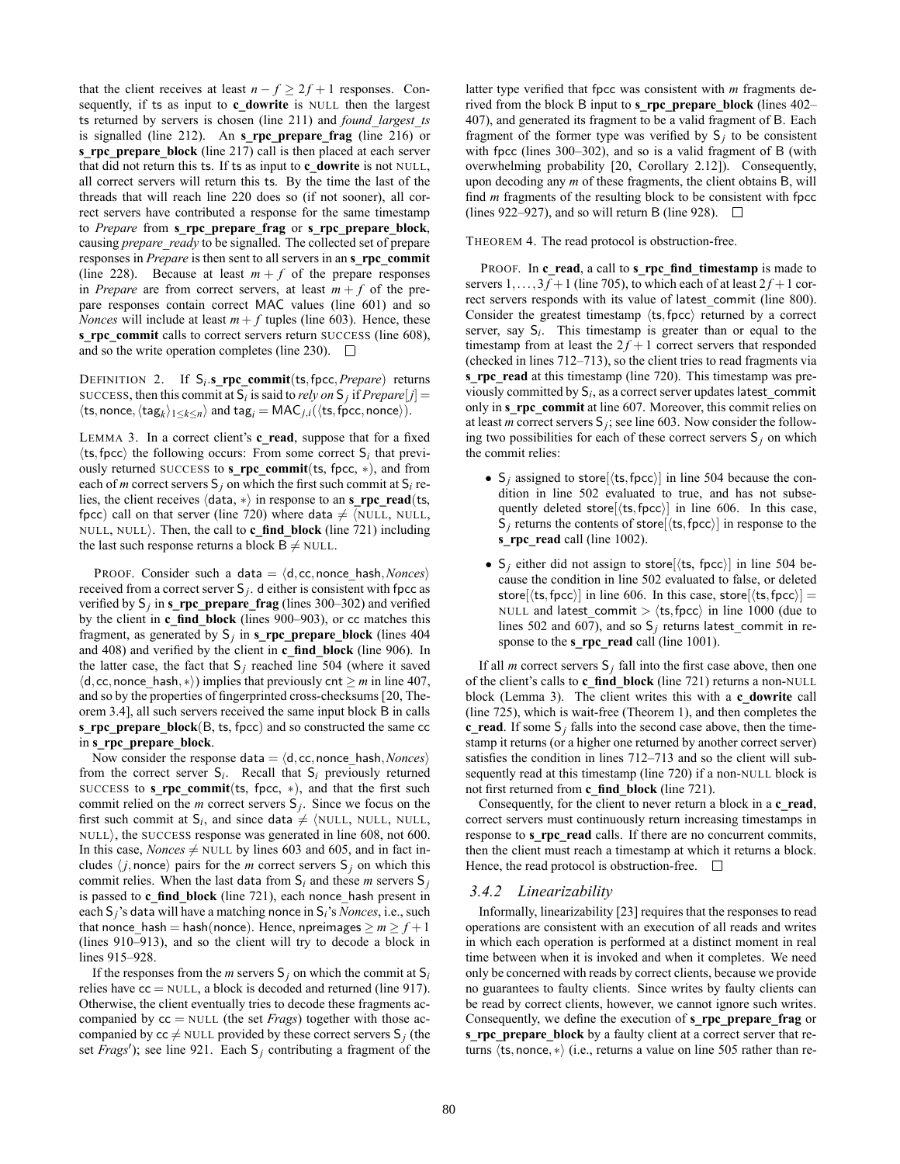that the client receives at least  $n - f \geq 2f + 1$  responses. Consequently, if ts as input to **c\_dowrite** is NULL then the largest ts returned by servers is chosen (line [211\)](#page-5-43) and *found*\_*largest*\_*ts* is signalled (line [212\)](#page-5-44). An **s** rpc prepare frag (line [216\)](#page-5-45) or **s** rpc prepare block (line [217\)](#page-5-9) call is then placed at each server that did not return this ts. If ts as input to **c\_dowrite** is not NULL, all correct servers will return this ts. By the time the last of the threads that will reach line [220](#page-5-33) does so (if not sooner), all correct servers have contributed a response for the same timestamp to *Prepare* from **s\_rpc\_prepare\_frag** or **s\_rpc\_prepare\_block**, causing *prepare*\_*ready* to be signalled. The collected set of prepare responses in *Prepare* is then sent to all servers in an **s\_rpc\_commit** (line [228\)](#page-5-10). Because at least  $m + f$  of the prepare responses in *Prepare* are from correct servers, at least  $m + f$  of the prepare responses contain correct MAC values (line [601\)](#page-5-36) and so *Nonces* will include at least  $m + f$  tuples (line [603\)](#page-5-46). Hence, these **s** rpc commit calls to correct servers return SUCCESS (line [608\)](#page-5-47), and so the write operation completes (line [230\)](#page-5-34).  $\Box$ 

DEFINITION 2. If S*i* .**s\_rpc\_commit**(ts,fpcc,*Prepare*) returns SUCCESS, then this commit at  $S_i$  is said to *rely on*  $S_j$  if  $Prepare[j] =$  $\langle$ ts, nonce,  $\langle \text{tag}_k \rangle_{1 \leq k \leq n}$  and tag<sub>*i*</sub> = MAC<sub>*j*,*i*</sub>( $\langle$ ts, fpcc, nonce $\rangle$ ).

<span id="page-7-1"></span>LEMMA 3. In a correct client's **c\_read**, suppose that for a fixed  $\langle$ ts,fpcc $\rangle$  the following occurs: From some correct S<sub>*i*</sub> that previously returned SUCCESS to **s\_rpc\_commit**(ts, fpcc, ∗), and from each of *m* correct servers  $S_i$  on which the first such commit at  $S_i$  relies, the client receives  $\langle \text{data}, * \rangle$  in response to an **s\_rpc\_read**(ts, fpcc) call on that server (line [720\)](#page-6-3) where data  $\neq$  (NULL, NULL, NULL, NULL). Then, the call to **c\_find\_block** (line [721\)](#page-6-16) including the last such response returns a block  $B \neq \text{NULL}$ .

PROOF. Consider such a data =  $\langle d, cc,$  nonce hash, *Nonces* $\rangle$ received from a correct server  $S_j$ . d either is consistent with fpcc as verified by S*j* in **s\_rpc\_prepare\_frag** (lines [300–](#page-5-14)[302\)](#page-5-16) and verified by the client in **c\_find\_block** (lines [900–](#page-6-17)[903\)](#page-6-27), or cc matches this fragment, as generated by  $S_j$  in **s\_rpc\_prepare\_block** (lines [404](#page-5-20) and [408\)](#page-5-48) and verified by the client in **c\_find\_block** (line [906\)](#page-6-18). In the latter case, the fact that  $S_j$  reached line [504](#page-5-29) (where it saved  $\langle d, cc, n$  once hash, $*\rangle$ ) implies that previously cnt  $\geq m$  in line [407,](#page-5-23) and so by the properties of fingerprinted cross-checksums [\[20,](#page-13-19) Theorem 3.4], all such servers received the same input block B in calls **s\_rpc\_prepare\_block**(B, ts, fpcc) and so constructed the same cc in **s\_rpc\_prepare\_block**.

Now consider the response data =  $\langle d, cc, none$  hash, *Nonces* $\rangle$ from the correct server  $S_i$ . Recall that  $S_i$  previously returned SUCCESS to **s\_rpc\_commit**(ts, fpcc, ∗), and that the first such commit relied on the  $m$  correct servers  $S_j$ . Since we focus on the first such commit at  $S_i$ , and since data  $\neq$   $\langle$  NULL, NULL, NULL,  $NULL$ , the SUCCESS response was generated in line [608,](#page-5-47) not [600.](#page-5-35) In this case, *Nonces*  $\neq$  NULL by lines [603](#page-5-46) and [605,](#page-5-39) and in fact includes  $\langle j,$  nonce $\rangle$  pairs for the *m* correct servers  $S_j$  on which this commit relies. When the last data from  $S_i$  and these *m* servers  $S_j$ is passed to **c** find block (line [721\)](#page-6-16), each nonce hash present in each S*j*'s data will have a matching nonce in S*i*'s *Nonces*, i.e., such that nonce hash = hash(nonce). Hence, npreimages  $\geq m$   $\geq f + 1$ (lines [910](#page-6-19)[–913\)](#page-6-20), and so the client will try to decode a block in lines [915](#page-6-21)[–928.](#page-6-22)

If the responses from the *m* servers  $S_i$  on which the commit at  $S_i$ relies have  $cc = NULL$ , a block is decoded and returned (line [917\)](#page-6-4). Otherwise, the client eventually tries to decode these fragments accompanied by cc = NULL (the set *Frags*) together with those accompanied by  $cc \neq$  NULL provided by these correct servers S *j* (the set *Frags'*); see line [921.](#page-6-30) Each  $S_j$  contributing a fragment of the

latter type verified that fpcc was consistent with *m* fragments derived from the block B input to **s\_rpc\_prepare\_block** (lines [402–](#page-5-42) [407\)](#page-5-23), and generated its fragment to be a valid fragment of B. Each fragment of the former type was verified by  $S_j$  to be consistent with fpcc (lines [300](#page-5-14)[–302\)](#page-5-16), and so is a valid fragment of B (with overwhelming probability [\[20,](#page-13-19) Corollary 2.12]). Consequently, upon decoding any *m* of these fragments, the client obtains B, will find *m* fragments of the resulting block to be consistent with fpcc (lines [922](#page-6-31)[–927\)](#page-6-32), and so will return B (line [928\)](#page-6-22).  $\Box$ 

THEOREM 4. The read protocol is obstruction-free.

PROOF. In **c\_read**, a call to **s\_rpc\_find\_timestamp** is made to servers  $1, \ldots, 3f + 1$  (line [705\)](#page-6-2), to which each of at least  $2f + 1$  correct servers responds with its value of latest\_commit (line [800\)](#page-6-12). Consider the greatest timestamp  $\langle ts, fpec \rangle$  returned by a correct server, say  $S_i$ . This timestamp is greater than or equal to the timestamp from at least the  $2f + 1$  correct servers that responded (checked in lines [712–](#page-6-34)[713\)](#page-6-35), so the client tries to read fragments via **s** rpc read at this timestamp (line [720\)](#page-6-3). This timestamp was previously committed by S*i* , as a correct server updates latest\_commit only in **s** rpc commit at line [607.](#page-5-40) Moreover, this commit relies on at least *m* correct servers  $S_j$ ; see line [603.](#page-5-46) Now consider the following two possibilities for each of these correct servers  $S_j$  on which the commit relies:

- $S_i$  assigned to store[ $\langle$ ts,fpcc $\rangle$ ] in line [504](#page-5-29) because the condition in line [502](#page-5-27) evaluated to true, and has not subsequently deleted store $[\langle ts, \text{fpcc} \rangle]$  in line [606.](#page-5-41) In this case,  $S_j$  returns the contents of store[ $\langle$ ts,fpcc $\rangle$ ] in response to the **s\_rpc\_read** call (line [1002\)](#page-6-15).
- S<sub>*j*</sub> either did not assign to store[ $\langle$ ts, fpcc $\rangle$ ] in line [504](#page-5-29) because the condition in line [502](#page-5-27) evaluated to false, or deleted store[ $\langle ts,æ$ fpcc $\rangle$ ] in line [606.](#page-5-41) In this case, store[ $\langle ts,$ fpcc $\rangle$ ] = NULL and latest commit  $>$   $\langle$ ts,fpcc $\rangle$  in line [1000](#page-6-36) (due to lines [502](#page-5-27) and [607\)](#page-5-40), and so  $S_i$  returns latest commit in response to the **s\_rpc\_read** call (line [1001\)](#page-6-23).

If all *m* correct servers  $S_j$  fall into the first case above, then one of the client's calls to **c\_find\_block** (line [721\)](#page-6-16) returns a non-NULL block (Lemma [3\)](#page-7-1). The client writes this with a **c\_dowrite** call (line [725\)](#page-6-33), which is wait-free (Theorem [1\)](#page-6-37), and then completes the **c\_read**. If some  $S_j$  falls into the second case above, then the timestamp it returns (or a higher one returned by another correct server) satisfies the condition in lines [712](#page-6-34)[–713](#page-6-35) and so the client will subsequently read at this timestamp (line [720\)](#page-6-3) if a non-NULL block is not first returned from **c\_find\_block** (line [721\)](#page-6-16).

Consequently, for the client to never return a block in a **c\_read**, correct servers must continuously return increasing timestamps in response to **s** rpc read calls. If there are no concurrent commits, then the client must reach a timestamp at which it returns a block. Hence, the read protocol is obstruction-free.  $\Box$ 

#### <span id="page-7-0"></span>*3.4.2 Linearizability*

Informally, linearizability [\[23\]](#page-13-25) requires that the responses to read operations are consistent with an execution of all reads and writes in which each operation is performed at a distinct moment in real time between when it is invoked and when it completes. We need only be concerned with reads by correct clients, because we provide no guarantees to faulty clients. Since writes by faulty clients can be read by correct clients, however, we cannot ignore such writes. Consequently, we define the execution of **s\_rpc\_prepare\_frag** or **s** rpc prepare block by a faulty client at a correct server that returns  $\langle ts, none, *\rangle$  (i.e., returns a value on line [505](#page-5-4) rather than re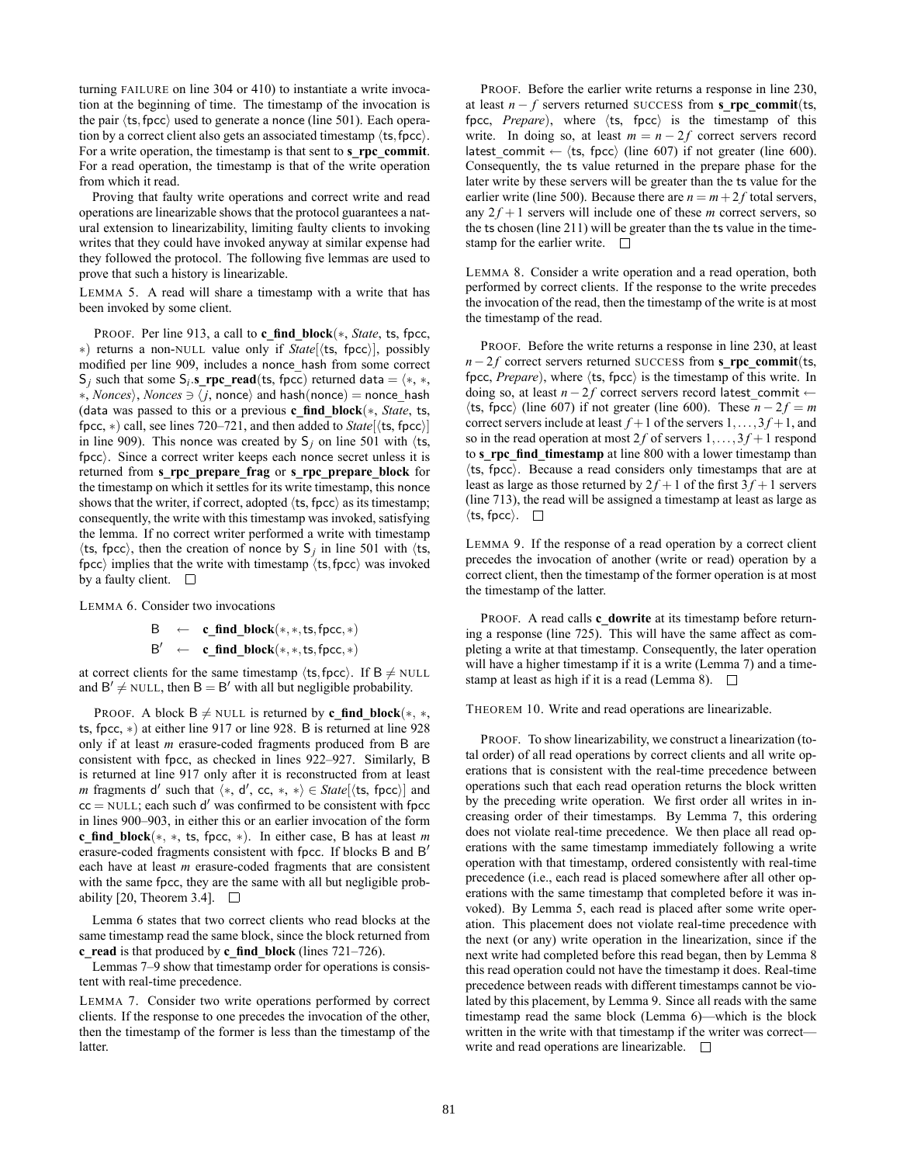turning FAILURE on line [304](#page-5-49) or [410\)](#page-5-50) to instantiate a write invocation at the beginning of time. The timestamp of the invocation is the pair  $\langle ts, fpec \rangle$  used to generate a nonce (line [501\)](#page-5-26). Each operation by a correct client also gets an associated timestamp  $\langle ts, fpec \rangle$ . For a write operation, the timestamp is that sent to **s\_rpc\_commit**. For a read operation, the timestamp is that of the write operation from which it read.

Proving that faulty write operations and correct write and read operations are linearizable shows that the protocol guarantees a natural extension to linearizability, limiting faulty clients to invoking writes that they could have invoked anyway at similar expense had they followed the protocol. The following five lemmas are used to prove that such a history is linearizable.

<span id="page-8-0"></span>LEMMA 5. A read will share a timestamp with a write that has been invoked by some client.

PROOF. Per line [913,](#page-6-20) a call to **c\_find\_block**(∗, *State*, ts, fpcc, ∗) returns a non-NULL value only if *State*[hts, fpcci], possibly modified per line [909,](#page-6-28) includes a nonce\_hash from some correct  $S_j$  such that some  $S_i$ .s\_rpc\_read(ts, fpcc) returned data =  $\langle *, *, \rangle$  $\star$ , *Nonces*), *Nonces* ∋  $\langle$ *j*, nonce) and hash(nonce) = nonce hash (data was passed to this or a previous **c\_find\_block**(∗, *State*, ts, fpcc,  $*$ ) call, see lines [720](#page-6-3)[–721,](#page-6-16) and then added to *State*[ $\langle ts, fpec \rangle$ ] in line [909\)](#page-6-28). This nonce was created by  $S_i$  on line [501](#page-5-26) with  $\langle ts,$  ${\rm fpcc}$ . Since a correct writer keeps each nonce secret unless it is returned from **s\_rpc\_prepare\_frag** or **s\_rpc\_prepare\_block** for the timestamp on which it settles for its write timestamp, this nonce shows that the writer, if correct, adopted  $\langle ts, fpec \rangle$  as its timestamp; consequently, the write with this timestamp was invoked, satisfying the lemma. If no correct writer performed a write with timestamp  $\langle$ ts, fpcc $\rangle$ , then the creation of nonce by S<sub>j</sub> in line [501](#page-5-26) with  $\langle$ ts,  ${\rm fpcc}$  implies that the write with timestamp  $\langle ts, \text{fpcc} \rangle$  was invoked by a faulty client.  $\Box$ 

<span id="page-8-1"></span>LEMMA 6. Consider two invocations

$$
\text{B} \quad \leftarrow \quad \text{c\_find\_block}(*,*,\text{ts},\text{fpcc},*)
$$

$$
\mathsf{B}' \quad \leftarrow \quad \text{c\_find\_block}(*,*,\text{ts},\text{fpcc},*)
$$

at correct clients for the same timestamp  $\langle ts, \text{fpcc} \rangle$ . If  $B \neq \text{NULL}$ and  $B' \neq$  NULL, then  $B = B'$  with all but negligible probability.

PROOF. A block  $B \neq$  NULL is returned by **c** find block $(*, *,$ ts, fpcc, ∗) at either line [917](#page-6-4) or line [928.](#page-6-22) B is returned at line [928](#page-6-22) only if at least *m* erasure-coded fragments produced from B are consistent with fpcc, as checked in lines [922](#page-6-31)[–927.](#page-6-32) Similarly, B is returned at line [917](#page-6-4) only after it is reconstructed from at least *m* fragments d' such that  $\langle *, d', cc, *, * \rangle \in State[\langle ts, fpec \rangle]$  and  $cc = NULL$ ; each such d' was confirmed to be consistent with fpcc in lines [900–](#page-6-17)[903,](#page-6-27) in either this or an earlier invocation of the form **c\_find\_block**(∗, ∗, ts, fpcc, ∗). In either case, B has at least *m* erasure-coded fragments consistent with fpcc. If blocks B and B' each have at least *m* erasure-coded fragments that are consistent with the same fpcc, they are the same with all but negligible prob-ability [\[20,](#page-13-19) Theorem 3.4].  $\Box$ 

Lemma [6](#page-8-1) states that two correct clients who read blocks at the same timestamp read the same block, since the block returned from **c\_read** is that produced by **c\_find\_block** (lines [721–](#page-6-16)[726\)](#page-6-5).

Lemmas [7–](#page-8-2)[9](#page-8-3) show that timestamp order for operations is consistent with real-time precedence.

<span id="page-8-2"></span>LEMMA 7. Consider two write operations performed by correct clients. If the response to one precedes the invocation of the other, then the timestamp of the former is less than the timestamp of the **latter** 

PROOF. Before the earlier write returns a response in line [230,](#page-5-34) at least  $n - f$  servers returned SUCCESS from **s** rpc commit(ts, fpcc, *Prepare*), where  $\langle ts, fpec \rangle$  is the timestamp of this write. In doing so, at least  $m = n - 2f$  correct servers record latest commit  $\leftarrow$   $\langle$ ts, fpcc $\rangle$  (line [607\)](#page-5-40) if not greater (line [600\)](#page-5-35). Consequently, the ts value returned in the prepare phase for the later write by these servers will be greater than the ts value for the earlier write (line [500\)](#page-5-25). Because there are  $n = m + 2f$  total servers, any  $2f + 1$  servers will include one of these *m* correct servers, so the ts chosen (line [211\)](#page-5-43) will be greater than the ts value in the timestamp for the earlier write.  $\Box$ 

<span id="page-8-4"></span>LEMMA 8. Consider a write operation and a read operation, both performed by correct clients. If the response to the write precedes the invocation of the read, then the timestamp of the write is at most the timestamp of the read.

PROOF. Before the write returns a response in line [230,](#page-5-34) at least  $n - 2f$  correct servers returned SUCCESS from **s** rpc commit(ts, fpcc, *Prepare*), where  $\langle ts, fpec \rangle$  is the timestamp of this write. In doing so, at least  $n - 2f$  correct servers record latest commit ←  $\langle$ ts, fpcc $\rangle$  (line [607\)](#page-5-40) if not greater (line [600\)](#page-5-35). These *n* − 2 *f* = *m* correct servers include at least  $f+1$  of the servers  $1, \ldots, 3f+1$ , and so in the read operation at most 2f of servers  $1, \ldots, 3f + 1$  respond to **s\_rpc\_find\_timestamp** at line [800](#page-6-12) with a lower timestamp than  $\langle ts, \text{fpcc} \rangle$ . Because a read considers only timestamps that are at least as large as those returned by  $2f + 1$  of the first  $3f + 1$  servers (line [713\)](#page-6-35), the read will be assigned a timestamp at least as large as  $\langle ts, \text{fpcc} \rangle$ .  $\Box$ 

<span id="page-8-3"></span>LEMMA 9. If the response of a read operation by a correct client precedes the invocation of another (write or read) operation by a correct client, then the timestamp of the former operation is at most the timestamp of the latter.

PROOF. A read calls **c\_dowrite** at its timestamp before returning a response (line [725\)](#page-6-33). This will have the same affect as completing a write at that timestamp. Consequently, the later operation will have a higher timestamp if it is a write (Lemma [7\)](#page-8-2) and a time-stamp at least as high if it is a read (Lemma [8\)](#page-8-4).  $\Box$ 

THEOREM 10. Write and read operations are linearizable.

PROOF. To show linearizability, we construct a linearization (total order) of all read operations by correct clients and all write operations that is consistent with the real-time precedence between operations such that each read operation returns the block written by the preceding write operation. We first order all writes in increasing order of their timestamps. By Lemma [7,](#page-8-2) this ordering does not violate real-time precedence. We then place all read operations with the same timestamp immediately following a write operation with that timestamp, ordered consistently with real-time precedence (i.e., each read is placed somewhere after all other operations with the same timestamp that completed before it was invoked). By Lemma [5,](#page-8-0) each read is placed after some write operation. This placement does not violate real-time precedence with the next (or any) write operation in the linearization, since if the next write had completed before this read began, then by Lemma [8](#page-8-4) this read operation could not have the timestamp it does. Real-time precedence between reads with different timestamps cannot be violated by this placement, by Lemma [9.](#page-8-3) Since all reads with the same timestamp read the same block (Lemma [6\)](#page-8-1)—which is the block written in the write with that timestamp if the writer was correct write and read operations are linearizable.  $\Box$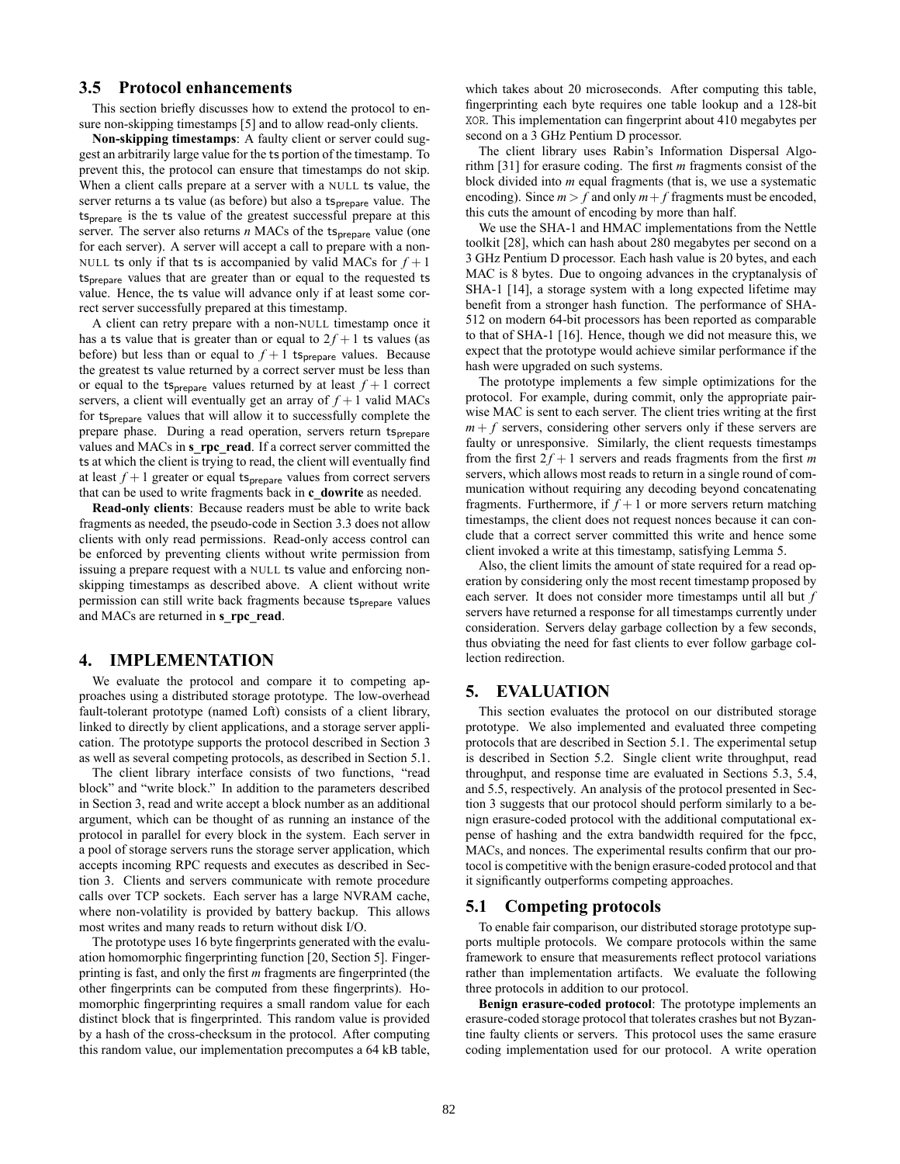## <span id="page-9-0"></span>**3.5 Protocol enhancements**

This section briefly discusses how to extend the protocol to ensure non-skipping timestamps [\[5\]](#page-12-7) and to allow read-only clients.

**Non-skipping timestamps**: A faulty client or server could suggest an arbitrarily large value for the ts portion of the timestamp. To prevent this, the protocol can ensure that timestamps do not skip. When a client calls prepare at a server with a NULL ts value, the server returns a ts value (as before) but also a ts<sub>prepare</sub> value. The tsprepare is the ts value of the greatest successful prepare at this server. The server also returns *n* MACs of the ts<sub>prepare</sub> value (one for each server). A server will accept a call to prepare with a non-NULL **ts** only if that **ts** is accompanied by valid MACs for  $f + 1$ ts<sub>prepare</sub> values that are greater than or equal to the requested ts value. Hence, the ts value will advance only if at least some correct server successfully prepared at this timestamp.

A client can retry prepare with a non-NULL timestamp once it has a ts value that is greater than or equal to  $2f + 1$  ts values (as before) but less than or equal to  $f + 1$  ts<sub>prepare</sub> values. Because the greatest ts value returned by a correct server must be less than or equal to the ts<sub>prepare</sub> values returned by at least  $f + 1$  correct servers, a client will eventually get an array of  $f + 1$  valid MACs for tsprepare values that will allow it to successfully complete the prepare phase. During a read operation, servers return tsprepare values and MACs in **s\_rpc\_read**. If a correct server committed the ts at which the client is trying to read, the client will eventually find at least  $f + 1$  greater or equal ts<sub>prepare</sub> values from correct servers that can be used to write fragments back in **c\_dowrite** as needed.

**Read-only clients**: Because readers must be able to write back fragments as needed, the pseudo-code in Section [3.3](#page-4-0) does not allow clients with only read permissions. Read-only access control can be enforced by preventing clients without write permission from issuing a prepare request with a NULL ts value and enforcing nonskipping timestamps as described above. A client without write permission can still write back fragments because ts<sub>prepare</sub> values and MACs are returned in **s\_rpc\_read**.

### **4. IMPLEMENTATION**

We evaluate the protocol and compare it to competing approaches using a distributed storage prototype. The low-overhead fault-tolerant prototype (named Loft) consists of a client library, linked to directly by client applications, and a storage server application. The prototype supports the protocol described in Section [3](#page-2-2) as well as several competing protocols, as described in Section [5.1.](#page-9-1)

The client library interface consists of two functions, "read block" and "write block." In addition to the parameters described in Section [3,](#page-2-2) read and write accept a block number as an additional argument, which can be thought of as running an instance of the protocol in parallel for every block in the system. Each server in a pool of storage servers runs the storage server application, which accepts incoming RPC requests and executes as described in Section [3.](#page-2-2) Clients and servers communicate with remote procedure calls over TCP sockets. Each server has a large NVRAM cache, where non-volatility is provided by battery backup. This allows most writes and many reads to return without disk I/O.

The prototype uses 16 byte fingerprints generated with the evaluation homomorphic fingerprinting function [\[20,](#page-13-19) Section 5]. Fingerprinting is fast, and only the first *m* fragments are fingerprinted (the other fingerprints can be computed from these fingerprints). Homomorphic fingerprinting requires a small random value for each distinct block that is fingerprinted. This random value is provided by a hash of the cross-checksum in the protocol. After computing this random value, our implementation precomputes a 64 kB table, which takes about 20 microseconds. After computing this table, fingerprinting each byte requires one table lookup and a 128-bit XOR. This implementation can fingerprint about 410 megabytes per second on a 3 GHz Pentium D processor.

The client library uses Rabin's Information Dispersal Algorithm [\[31\]](#page-13-26) for erasure coding. The first *m* fragments consist of the block divided into *m* equal fragments (that is, we use a systematic encoding). Since  $m > f$  and only  $m + f$  fragments must be encoded, this cuts the amount of encoding by more than half.

We use the SHA-1 and HMAC implementations from the Nettle toolkit [\[28\]](#page-13-27), which can hash about 280 megabytes per second on a 3 GHz Pentium D processor. Each hash value is 20 bytes, and each MAC is 8 bytes. Due to ongoing advances in the cryptanalysis of SHA-1 [\[14\]](#page-13-28), a storage system with a long expected lifetime may benefit from a stronger hash function. The performance of SHA-512 on modern 64-bit processors has been reported as comparable to that of SHA-1 [\[16\]](#page-13-29). Hence, though we did not measure this, we expect that the prototype would achieve similar performance if the hash were upgraded on such systems.

The prototype implements a few simple optimizations for the protocol. For example, during commit, only the appropriate pairwise MAC is sent to each server. The client tries writing at the first  $m + f$  servers, considering other servers only if these servers are faulty or unresponsive. Similarly, the client requests timestamps from the first  $2f + 1$  servers and reads fragments from the first *m* servers, which allows most reads to return in a single round of communication without requiring any decoding beyond concatenating fragments. Furthermore, if  $f + 1$  or more servers return matching timestamps, the client does not request nonces because it can conclude that a correct server committed this write and hence some client invoked a write at this timestamp, satisfying Lemma [5.](#page-8-0)

Also, the client limits the amount of state required for a read operation by considering only the most recent timestamp proposed by each server. It does not consider more timestamps until all but *f* servers have returned a response for all timestamps currently under consideration. Servers delay garbage collection by a few seconds, thus obviating the need for fast clients to ever follow garbage collection redirection.

## **5. EVALUATION**

This section evaluates the protocol on our distributed storage prototype. We also implemented and evaluated three competing protocols that are described in Section [5.1.](#page-9-1) The experimental setup is described in Section [5.2.](#page-10-0) Single client write throughput, read throughput, and response time are evaluated in Sections [5.3,](#page-10-1) [5.4,](#page-11-0) and [5.5,](#page-11-1) respectively. An analysis of the protocol presented in Section [3](#page-2-2) suggests that our protocol should perform similarly to a benign erasure-coded protocol with the additional computational expense of hashing and the extra bandwidth required for the fpcc, MACs, and nonces. The experimental results confirm that our protocol is competitive with the benign erasure-coded protocol and that it significantly outperforms competing approaches.

## <span id="page-9-1"></span>**5.1 Competing protocols**

To enable fair comparison, our distributed storage prototype supports multiple protocols. We compare protocols within the same framework to ensure that measurements reflect protocol variations rather than implementation artifacts. We evaluate the following three protocols in addition to our protocol.

**Benign erasure-coded protocol**: The prototype implements an erasure-coded storage protocol that tolerates crashes but not Byzantine faulty clients or servers. This protocol uses the same erasure coding implementation used for our protocol. A write operation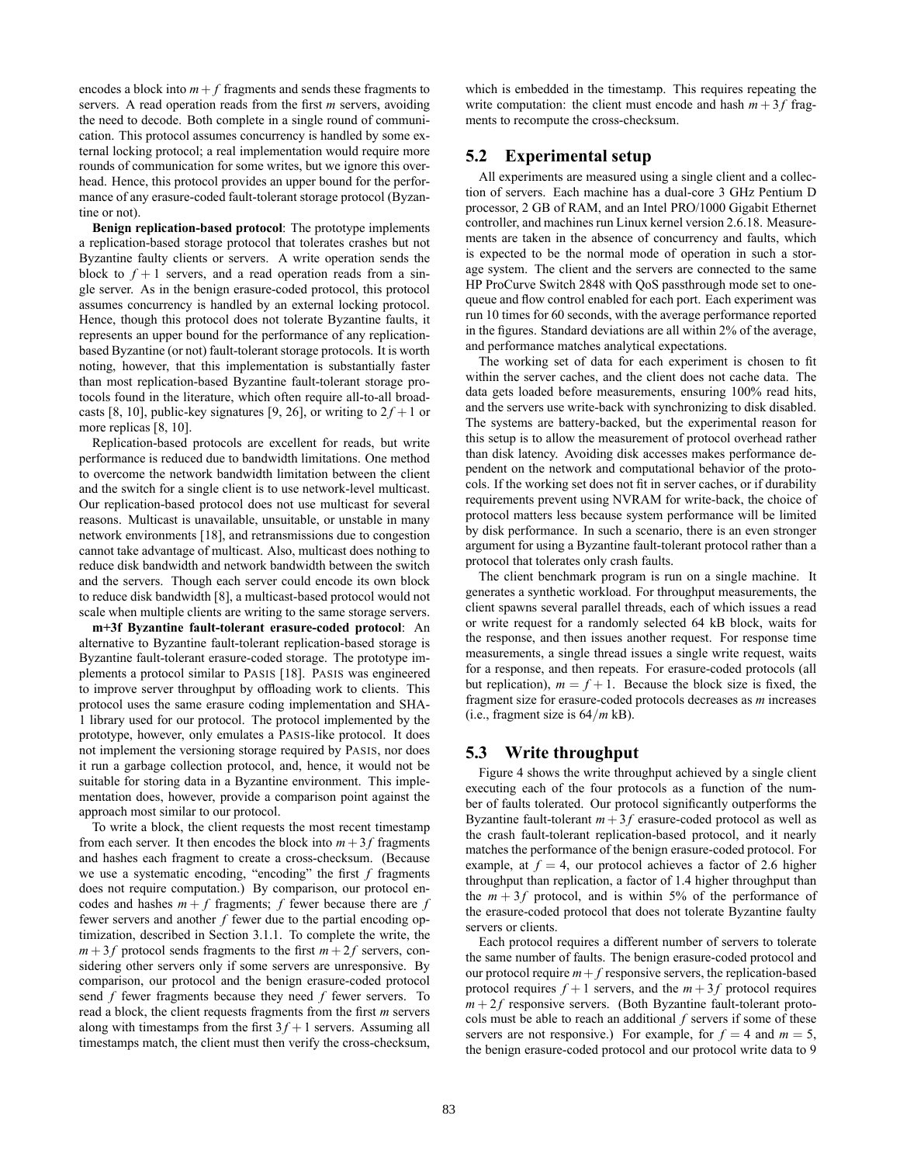encodes a block into  $m + f$  fragments and sends these fragments to servers. A read operation reads from the first *m* servers, avoiding the need to decode. Both complete in a single round of communication. This protocol assumes concurrency is handled by some external locking protocol; a real implementation would require more rounds of communication for some writes, but we ignore this overhead. Hence, this protocol provides an upper bound for the performance of any erasure-coded fault-tolerant storage protocol (Byzantine or not).

**Benign replication-based protocol**: The prototype implements a replication-based storage protocol that tolerates crashes but not Byzantine faulty clients or servers. A write operation sends the block to  $f + 1$  servers, and a read operation reads from a single server. As in the benign erasure-coded protocol, this protocol assumes concurrency is handled by an external locking protocol. Hence, though this protocol does not tolerate Byzantine faults, it represents an upper bound for the performance of any replicationbased Byzantine (or not) fault-tolerant storage protocols. It is worth noting, however, that this implementation is substantially faster than most replication-based Byzantine fault-tolerant storage protocols found in the literature, which often require all-to-all broad-casts [\[8,](#page-12-5) [10\]](#page-13-13), public-key signatures [\[9,](#page-13-18) [26\]](#page-13-20), or writing to  $2f + 1$  or more replicas [\[8,](#page-12-5) [10\]](#page-13-13).

Replication-based protocols are excellent for reads, but write performance is reduced due to bandwidth limitations. One method to overcome the network bandwidth limitation between the client and the switch for a single client is to use network-level multicast. Our replication-based protocol does not use multicast for several reasons. Multicast is unavailable, unsuitable, or unstable in many network environments [\[18\]](#page-13-16), and retransmissions due to congestion cannot take advantage of multicast. Also, multicast does nothing to reduce disk bandwidth and network bandwidth between the switch and the servers. Though each server could encode its own block to reduce disk bandwidth [\[8\]](#page-12-5), a multicast-based protocol would not scale when multiple clients are writing to the same storage servers.

**m+3f Byzantine fault-tolerant erasure-coded protocol**: An alternative to Byzantine fault-tolerant replication-based storage is Byzantine fault-tolerant erasure-coded storage. The prototype implements a protocol similar to PASIS [\[18\]](#page-13-16). PASIS was engineered to improve server throughput by offloading work to clients. This protocol uses the same erasure coding implementation and SHA-1 library used for our protocol. The protocol implemented by the prototype, however, only emulates a PASIS-like protocol. It does not implement the versioning storage required by PASIS, nor does it run a garbage collection protocol, and, hence, it would not be suitable for storing data in a Byzantine environment. This implementation does, however, provide a comparison point against the approach most similar to our protocol.

To write a block, the client requests the most recent timestamp from each server. It then encodes the block into  $m+3f$  fragments and hashes each fragment to create a cross-checksum. (Because we use a systematic encoding, "encoding" the first *f* fragments does not require computation.) By comparison, our protocol encodes and hashes  $m + f$  fragments; *f* fewer because there are *f* fewer servers and another *f* fewer due to the partial encoding optimization, described in Section [3.1.1.](#page-2-0) To complete the write, the  $m+3f$  protocol sends fragments to the first  $m+2f$  servers, considering other servers only if some servers are unresponsive. By comparison, our protocol and the benign erasure-coded protocol send *f* fewer fragments because they need *f* fewer servers. To read a block, the client requests fragments from the first *m* servers along with timestamps from the first  $3f + 1$  servers. Assuming all timestamps match, the client must then verify the cross-checksum,

which is embedded in the timestamp. This requires repeating the write computation: the client must encode and hash  $m + 3f$  fragments to recompute the cross-checksum.

## <span id="page-10-0"></span>**5.2 Experimental setup**

All experiments are measured using a single client and a collection of servers. Each machine has a dual-core 3 GHz Pentium D processor, 2 GB of RAM, and an Intel PRO/1000 Gigabit Ethernet controller, and machines run Linux kernel version 2.6.18. Measurements are taken in the absence of concurrency and faults, which is expected to be the normal mode of operation in such a storage system. The client and the servers are connected to the same HP ProCurve Switch 2848 with QoS passthrough mode set to onequeue and flow control enabled for each port. Each experiment was run 10 times for 60 seconds, with the average performance reported in the figures. Standard deviations are all within 2% of the average, and performance matches analytical expectations.

The working set of data for each experiment is chosen to fit within the server caches, and the client does not cache data. The data gets loaded before measurements, ensuring 100% read hits, and the servers use write-back with synchronizing to disk disabled. The systems are battery-backed, but the experimental reason for this setup is to allow the measurement of protocol overhead rather than disk latency. Avoiding disk accesses makes performance dependent on the network and computational behavior of the protocols. If the working set does not fit in server caches, or if durability requirements prevent using NVRAM for write-back, the choice of protocol matters less because system performance will be limited by disk performance. In such a scenario, there is an even stronger argument for using a Byzantine fault-tolerant protocol rather than a protocol that tolerates only crash faults.

The client benchmark program is run on a single machine. It generates a synthetic workload. For throughput measurements, the client spawns several parallel threads, each of which issues a read or write request for a randomly selected 64 kB block, waits for the response, and then issues another request. For response time measurements, a single thread issues a single write request, waits for a response, and then repeats. For erasure-coded protocols (all but replication),  $m = f + 1$ . Because the block size is fixed, the fragment size for erasure-coded protocols decreases as *m* increases (i.e., fragment size is 64/*m* kB).

## <span id="page-10-1"></span>**5.3 Write throughput**

Figure [4](#page-11-2) shows the write throughput achieved by a single client executing each of the four protocols as a function of the number of faults tolerated. Our protocol significantly outperforms the Byzantine fault-tolerant  $m + 3f$  erasure-coded protocol as well as the crash fault-tolerant replication-based protocol, and it nearly matches the performance of the benign erasure-coded protocol. For example, at  $f = 4$ , our protocol achieves a factor of 2.6 higher throughput than replication, a factor of 1.4 higher throughput than the  $m + 3f$  protocol, and is within 5% of the performance of the erasure-coded protocol that does not tolerate Byzantine faulty servers or clients.

Each protocol requires a different number of servers to tolerate the same number of faults. The benign erasure-coded protocol and our protocol require  $m + f$  responsive servers, the replication-based protocol requires  $f + 1$  servers, and the  $m + 3f$  protocol requires  $m + 2f$  responsive servers. (Both Byzantine fault-tolerant protocols must be able to reach an additional *f* servers if some of these servers are not responsive.) For example, for  $f = 4$  and  $m = 5$ , the benign erasure-coded protocol and our protocol write data to 9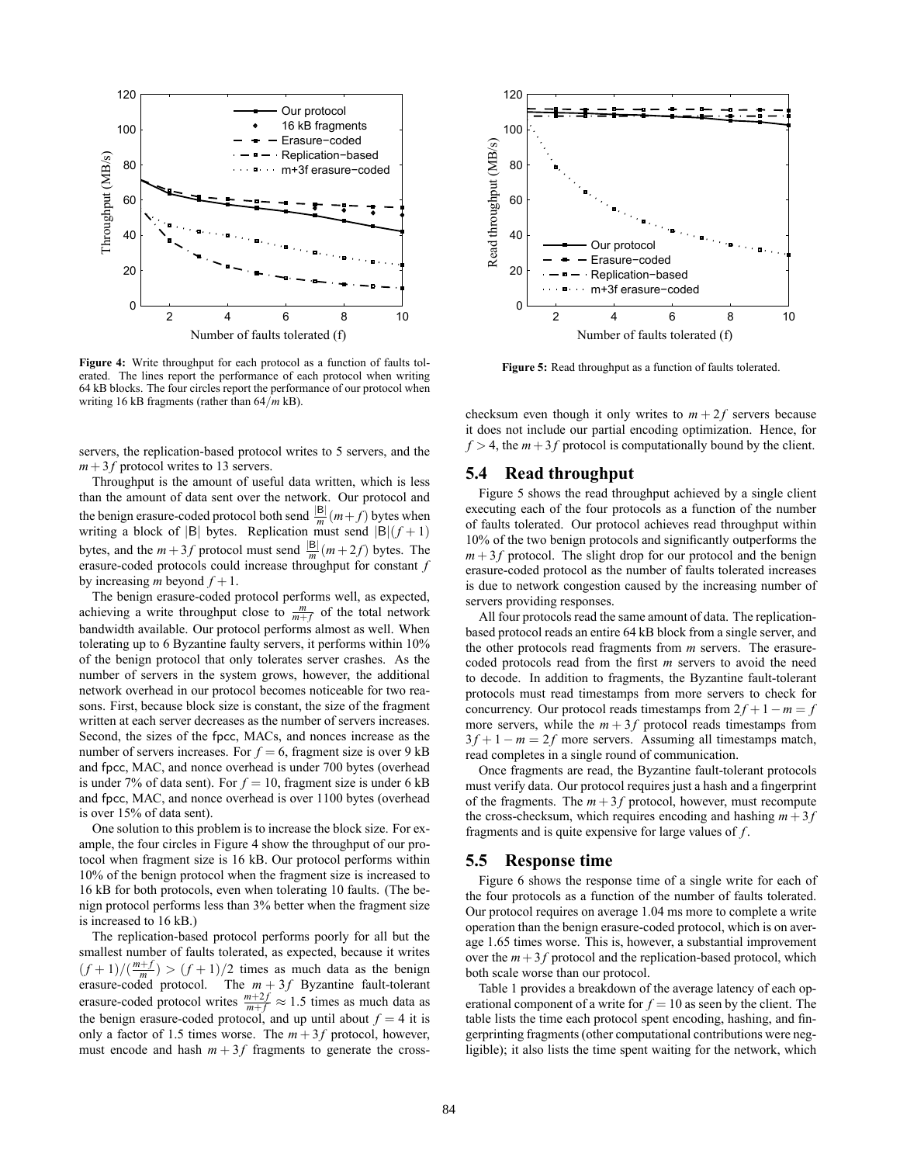

<span id="page-11-2"></span>**Figure 4:** Write throughput for each protocol as a function of faults tolerated. The lines report the performance of each protocol when writing 64 kB blocks. The four circles report the performance of our protocol when writing 16 kB fragments (rather than 64/*m* kB).

**Figure 5:** Read throughput as a function of faults tolerated.

servers, the replication-based protocol writes to 5 servers, and the  $m+3f$  protocol writes to 13 servers.

Throughput is the amount of useful data written, which is less than the amount of data sent over the network. Our protocol and the benign erasure-coded protocol both send  $\frac{|B|}{m}(m+f)$  bytes when writing a block of  $|B|$  bytes. Replication must send  $|B|(f+1)$ bytes, and the  $m+3f$  protocol must send  $\frac{|B|}{m}(m+2f)$  bytes. The erasure-coded protocols could increase throughput for constant *f* by increasing *m* beyond  $f + 1$ .

The benign erasure-coded protocol performs well, as expected, achieving a write throughput close to  $\frac{m}{m+f}$  of the total network bandwidth available. Our protocol performs almost as well. When tolerating up to 6 Byzantine faulty servers, it performs within 10% of the benign protocol that only tolerates server crashes. As the number of servers in the system grows, however, the additional network overhead in our protocol becomes noticeable for two reasons. First, because block size is constant, the size of the fragment written at each server decreases as the number of servers increases. Second, the sizes of the fpcc, MACs, and nonces increase as the number of servers increases. For  $f = 6$ , fragment size is over 9 kB and fpcc, MAC, and nonce overhead is under 700 bytes (overhead is under 7% of data sent). For  $f = 10$ , fragment size is under 6 kB and fpcc, MAC, and nonce overhead is over 1100 bytes (overhead is over 15% of data sent).

One solution to this problem is to increase the block size. For example, the four circles in Figure [4](#page-11-2) show the throughput of our protocol when fragment size is 16 kB. Our protocol performs within 10% of the benign protocol when the fragment size is increased to 16 kB for both protocols, even when tolerating 10 faults. (The benign protocol performs less than 3% better when the fragment size is increased to 16 kB.)

The replication-based protocol performs poorly for all but the smallest number of faults tolerated, as expected, because it writes  $(f+1)/(\frac{m+f}{m})$  >  $(f+1)/2$  times as much data as the benign erasure-coded protocol. The  $m + 3f$  Byzantine fault-tolerant erasure-coded protocol writes  $\frac{m+2f}{m+f} \approx 1.5$  times as much data as the benign erasure-coded protocol, and up until about  $f = 4$  it is only a factor of 1.5 times worse. The  $m + 3f$  protocol, however, must encode and hash  $m + 3f$  fragments to generate the cross<span id="page-11-3"></span>checksum even though it only writes to  $m + 2f$  servers because it does not include our partial encoding optimization. Hence, for  $f > 4$ , the  $m + 3f$  protocol is computationally bound by the client.

#### <span id="page-11-0"></span>**5.4 Read throughput**

Figure [5](#page-11-3) shows the read throughput achieved by a single client executing each of the four protocols as a function of the number of faults tolerated. Our protocol achieves read throughput within 10% of the two benign protocols and significantly outperforms the  $m + 3f$  protocol. The slight drop for our protocol and the benign erasure-coded protocol as the number of faults tolerated increases is due to network congestion caused by the increasing number of servers providing responses.

All four protocols read the same amount of data. The replicationbased protocol reads an entire 64 kB block from a single server, and the other protocols read fragments from *m* servers. The erasurecoded protocols read from the first *m* servers to avoid the need to decode. In addition to fragments, the Byzantine fault-tolerant protocols must read timestamps from more servers to check for concurrency. Our protocol reads timestamps from  $2f + 1 - m = f$ more servers, while the  $m + 3f$  protocol reads timestamps from  $3f + 1 - m = 2f$  more servers. Assuming all timestamps match, read completes in a single round of communication.

Once fragments are read, the Byzantine fault-tolerant protocols must verify data. Our protocol requires just a hash and a fingerprint of the fragments. The  $m + 3f$  protocol, however, must recompute the cross-checksum, which requires encoding and hashing  $m+3f$ fragments and is quite expensive for large values of *f* .

#### <span id="page-11-1"></span>**5.5 Response time**

Figure [6](#page-12-8) shows the response time of a single write for each of the four protocols as a function of the number of faults tolerated. Our protocol requires on average 1.04 ms more to complete a write operation than the benign erasure-coded protocol, which is on average 1.65 times worse. This is, however, a substantial improvement over the  $m+3f$  protocol and the replication-based protocol, which both scale worse than our protocol.

Table [1](#page-12-9) provides a breakdown of the average latency of each operational component of a write for  $f = 10$  as seen by the client. The table lists the time each protocol spent encoding, hashing, and fingerprinting fragments(other computational contributions were negligible); it also lists the time spent waiting for the network, which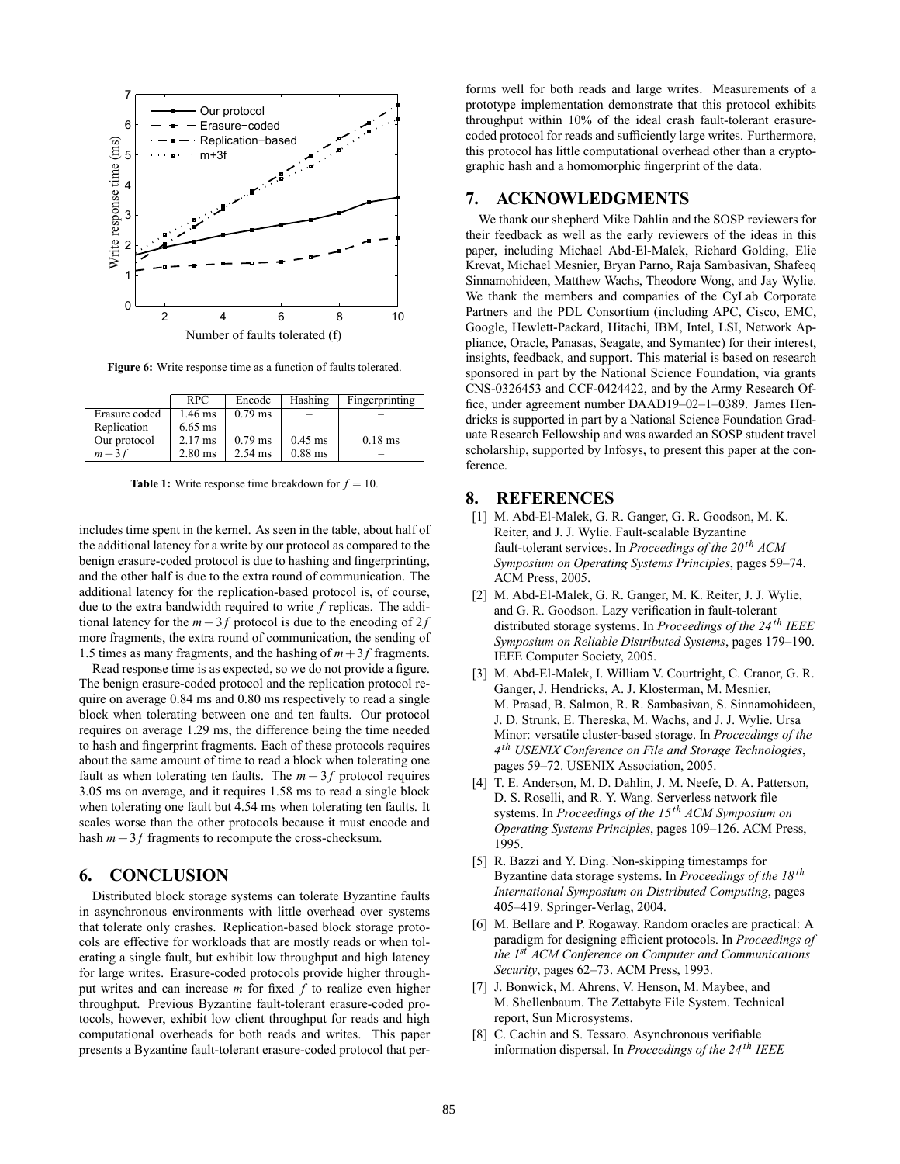

**Figure 6:** Write response time as a function of faults tolerated.

<span id="page-12-8"></span>

|               | RPC       | Encode    | Hashing   | Fingerprinting |
|---------------|-----------|-----------|-----------|----------------|
| Erasure coded | $1.46$ ms | $0.79$ ms |           |                |
| Replication   | $6.65$ ms |           |           |                |
| Our protocol  | $2.17$ ms | $0.79$ ms | $0.45$ ms | $0.18$ ms      |
| $m+3f$        | $2.80$ ms | 2.54 ms   | $0.88$ ms |                |

**Table 1:** Write response time breakdown for  $f = 10$ .

<span id="page-12-9"></span>includes time spent in the kernel. As seen in the table, about half of the additional latency for a write by our protocol as compared to the benign erasure-coded protocol is due to hashing and fingerprinting, and the other half is due to the extra round of communication. The additional latency for the replication-based protocol is, of course, due to the extra bandwidth required to write *f* replicas. The additional latency for the  $m+3f$  protocol is due to the encoding of 2 $f$ more fragments, the extra round of communication, the sending of 1.5 times as many fragments, and the hashing of  $m+3f$  fragments.

Read response time is as expected, so we do not provide a figure. The benign erasure-coded protocol and the replication protocol require on average 0.84 ms and 0.80 ms respectively to read a single block when tolerating between one and ten faults. Our protocol requires on average 1.29 ms, the difference being the time needed to hash and fingerprint fragments. Each of these protocols requires about the same amount of time to read a block when tolerating one fault as when tolerating ten faults. The  $m + 3f$  protocol requires 3.05 ms on average, and it requires 1.58 ms to read a single block when tolerating one fault but 4.54 ms when tolerating ten faults. It scales worse than the other protocols because it must encode and hash  $m+3f$  fragments to recompute the cross-checksum.

## **6. CONCLUSION**

Distributed block storage systems can tolerate Byzantine faults in asynchronous environments with little overhead over systems that tolerate only crashes. Replication-based block storage protocols are effective for workloads that are mostly reads or when tolerating a single fault, but exhibit low throughput and high latency for large writes. Erasure-coded protocols provide higher throughput writes and can increase *m* for fixed *f* to realize even higher throughput. Previous Byzantine fault-tolerant erasure-coded protocols, however, exhibit low client throughput for reads and high computational overheads for both reads and writes. This paper presents a Byzantine fault-tolerant erasure-coded protocol that performs well for both reads and large writes. Measurements of a prototype implementation demonstrate that this protocol exhibits throughput within 10% of the ideal crash fault-tolerant erasurecoded protocol for reads and sufficiently large writes. Furthermore, this protocol has little computational overhead other than a cryptographic hash and a homomorphic fingerprint of the data.

## **7. ACKNOWLEDGMENTS**

We thank our shepherd Mike Dahlin and the SOSP reviewers for their feedback as well as the early reviewers of the ideas in this paper, including Michael Abd-El-Malek, Richard Golding, Elie Krevat, Michael Mesnier, Bryan Parno, Raja Sambasivan, Shafeeq Sinnamohideen, Matthew Wachs, Theodore Wong, and Jay Wylie. We thank the members and companies of the CyLab Corporate Partners and the PDL Consortium (including APC, Cisco, EMC, Google, Hewlett-Packard, Hitachi, IBM, Intel, LSI, Network Appliance, Oracle, Panasas, Seagate, and Symantec) for their interest, insights, feedback, and support. This material is based on research sponsored in part by the National Science Foundation, via grants CNS-0326453 and CCF-0424422, and by the Army Research Office, under agreement number DAAD19–02–1–0389. James Hendricks is supported in part by a National Science Foundation Graduate Research Fellowship and was awarded an SOSP student travel scholarship, supported by Infosys, to present this paper at the conference.

### <span id="page-12-3"></span>**8. REFERENCES**

- [1] M. Abd-El-Malek, G. R. Ganger, G. R. Goodson, M. K. Reiter, and J. J. Wylie. Fault-scalable Byzantine fault-tolerant services. In *Proceedings of the 20th ACM Symposium on Operating Systems Principles*, pages 59–74. ACM Press, 2005.
- <span id="page-12-4"></span>[2] M. Abd-El-Malek, G. R. Ganger, M. K. Reiter, J. J. Wylie, and G. R. Goodson. Lazy verification in fault-tolerant distributed storage systems. In *Proceedings of the 24th IEEE Symposium on Reliable Distributed Systems*, pages 179–190. IEEE Computer Society, 2005.
- <span id="page-12-1"></span>[3] M. Abd-El-Malek, I. William V. Courtright, C. Cranor, G. R. Ganger, J. Hendricks, A. J. Klosterman, M. Mesnier, M. Prasad, B. Salmon, R. R. Sambasivan, S. Sinnamohideen, J. D. Strunk, E. Thereska, M. Wachs, and J. J. Wylie. Ursa Minor: versatile cluster-based storage. In *Proceedings of the 4 th USENIX Conference on File and Storage Technologies*, pages 59–72. USENIX Association, 2005.
- <span id="page-12-0"></span>[4] T. E. Anderson, M. D. Dahlin, J. M. Neefe, D. A. Patterson, D. S. Roselli, and R. Y. Wang. Serverless network file systems. In *Proceedings of the 15th ACM Symposium on Operating Systems Principles*, pages 109–126. ACM Press, 1995.
- <span id="page-12-7"></span>[5] R. Bazzi and Y. Ding. Non-skipping timestamps for Byzantine data storage systems. In *Proceedings of the 18th International Symposium on Distributed Computing*, pages 405–419. Springer-Verlag, 2004.
- <span id="page-12-6"></span>[6] M. Bellare and P. Rogaway. Random oracles are practical: A paradigm for designing efficient protocols. In *Proceedings of the 1 st ACM Conference on Computer and Communications Security*, pages 62–73. ACM Press, 1993.
- <span id="page-12-2"></span>[7] J. Bonwick, M. Ahrens, V. Henson, M. Maybee, and M. Shellenbaum. The Zettabyte File System. Technical report, Sun Microsystems.
- <span id="page-12-5"></span>[8] C. Cachin and S. Tessaro. Asynchronous verifiable information dispersal. In *Proceedings of the 24th IEEE*